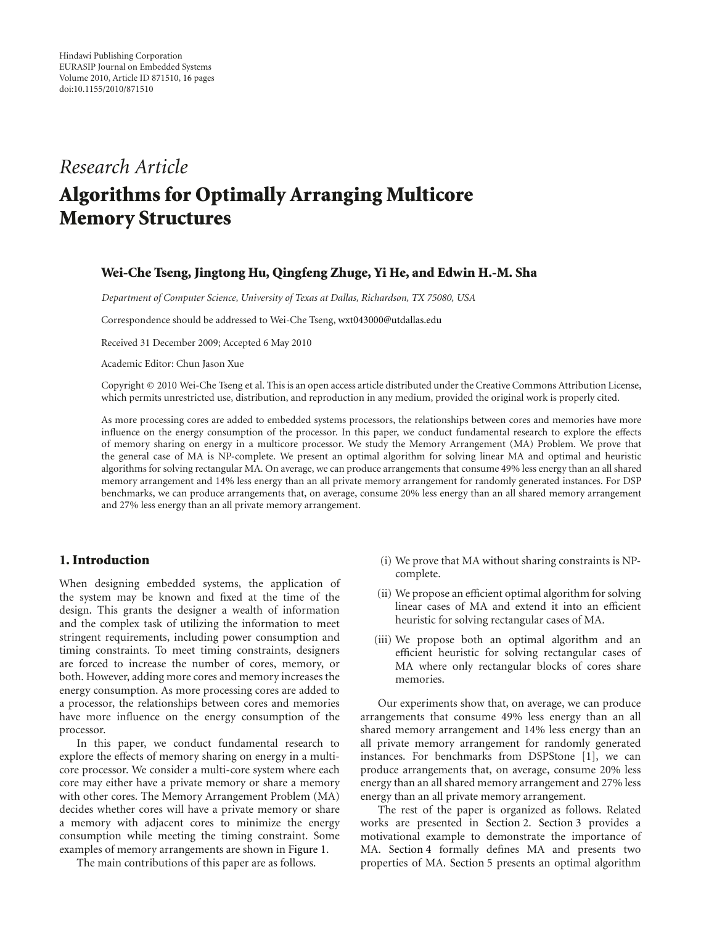# *Research Article* **Algorithms for Optimally Arranging Multicore Memory Structures**

## **Wei-Che Tseng, Jingtong Hu, Qingfeng Zhuge, Yi He, and Edwin H.-M. Sha**

*Department of Computer Science, University of Texas at Dallas, Richardson, TX 75080, USA*

Correspondence should be addressed to Wei-Che Tseng, wxt043000@utdallas.edu

Received 31 December 2009; Accepted 6 May 2010

Academic Editor: Chun Jason Xue

Copyright © 2010 Wei-Che Tseng et al. This is an open access article distributed under the Creative Commons Attribution License, which permits unrestricted use, distribution, and reproduction in any medium, provided the original work is properly cited.

As more processing cores are added to embedded systems processors, the relationships between cores and memories have more influence on the energy consumption of the processor. In this paper, we conduct fundamental research to explore the effects of memory sharing on energy in a multicore processor. We study the Memory Arrangement (MA) Problem. We prove that the general case of MA is NP-complete. We present an optimal algorithm for solving linear MA and optimal and heuristic algorithms for solving rectangular MA. On average, we can produce arrangements that consume 49% less energy than an all shared memory arrangement and 14% less energy than an all private memory arrangement for randomly generated instances. For DSP benchmarks, we can produce arrangements that, on average, consume 20% less energy than an all shared memory arrangement and 27% less energy than an all private memory arrangement.

# **1. Introduction**

When designing embedded systems, the application of the system may be known and fixed at the time of the design. This grants the designer a wealth of information and the complex task of utilizing the information to meet stringent requirements, including power consumption and timing constraints. To meet timing constraints, designers are forced to increase the number of cores, memory, or both. However, adding more cores and memory increases the energy consumption. As more processing cores are added to a processor, the relationships between cores and memories have more influence on the energy consumption of the processor.

In this paper, we conduct fundamental research to explore the effects of memory sharing on energy in a multicore processor. We consider a multi-core system where each core may either have a private memory or share a memory with other cores. The Memory Arrangement Problem (MA) decides whether cores will have a private memory or share a memory with adjacent cores to minimize the energy consumption while meeting the timing constraint. Some examples of memory arrangements are shown in Figure 1.

The main contributions of this paper are as follows.

- (i) We prove that MA without sharing constraints is NPcomplete.
- (ii) We propose an efficient optimal algorithm for solving linear cases of MA and extend it into an efficient heuristic for solving rectangular cases of MA.
- (iii) We propose both an optimal algorithm and an efficient heuristic for solving rectangular cases of MA where only rectangular blocks of cores share memories.

Our experiments show that, on average, we can produce arrangements that consume 49% less energy than an all shared memory arrangement and 14% less energy than an all private memory arrangement for randomly generated instances. For benchmarks from DSPStone [1], we can produce arrangements that, on average, consume 20% less energy than an all shared memory arrangement and 27% less energy than an all private memory arrangement.

The rest of the paper is organized as follows. Related works are presented in Section 2. Section 3 provides a motivational example to demonstrate the importance of MA. Section 4 formally defines MA and presents two properties of MA. Section 5 presents an optimal algorithm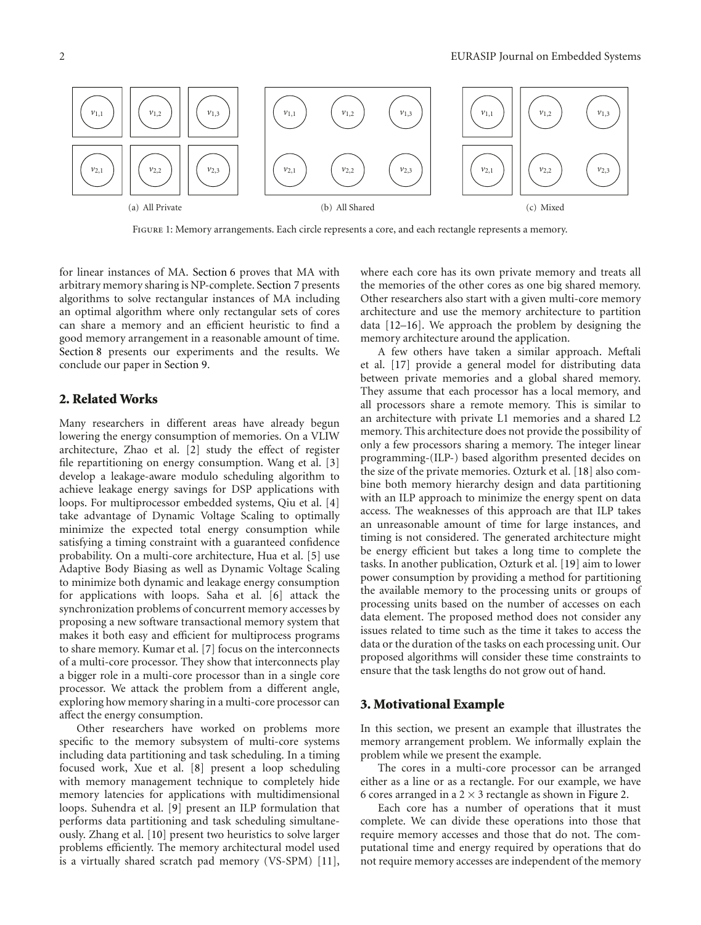

Figure 1: Memory arrangements. Each circle represents a core, and each rectangle represents a memory.

for linear instances of MA. Section 6 proves that MA with arbitrary memory sharing is NP-complete. Section 7 presents algorithms to solve rectangular instances of MA including an optimal algorithm where only rectangular sets of cores can share a memory and an efficient heuristic to find a good memory arrangement in a reasonable amount of time. Section 8 presents our experiments and the results. We conclude our paper in Section 9.

## **2. Related Works**

Many researchers in different areas have already begun lowering the energy consumption of memories. On a VLIW architecture, Zhao et al. [2] study the effect of register file repartitioning on energy consumption. Wang et al. [3] develop a leakage-aware modulo scheduling algorithm to achieve leakage energy savings for DSP applications with loops. For multiprocessor embedded systems, Qiu et al. [4] take advantage of Dynamic Voltage Scaling to optimally minimize the expected total energy consumption while satisfying a timing constraint with a guaranteed confidence probability. On a multi-core architecture, Hua et al. [5] use Adaptive Body Biasing as well as Dynamic Voltage Scaling to minimize both dynamic and leakage energy consumption for applications with loops. Saha et al. [6] attack the synchronization problems of concurrent memory accesses by proposing a new software transactional memory system that makes it both easy and efficient for multiprocess programs to share memory. Kumar et al. [7] focus on the interconnects of a multi-core processor. They show that interconnects play a bigger role in a multi-core processor than in a single core processor. We attack the problem from a different angle, exploring how memory sharing in a multi-core processor can affect the energy consumption.

Other researchers have worked on problems more specific to the memory subsystem of multi-core systems including data partitioning and task scheduling. In a timing focused work, Xue et al. [8] present a loop scheduling with memory management technique to completely hide memory latencies for applications with multidimensional loops. Suhendra et al. [9] present an ILP formulation that performs data partitioning and task scheduling simultaneously. Zhang et al. [10] present two heuristics to solve larger problems efficiently. The memory architectural model used is a virtually shared scratch pad memory (VS-SPM) [11],

where each core has its own private memory and treats all the memories of the other cores as one big shared memory. Other researchers also start with a given multi-core memory architecture and use the memory architecture to partition data [12–16]. We approach the problem by designing the memory architecture around the application.

A few others have taken a similar approach. Meftali et al. [17] provide a general model for distributing data between private memories and a global shared memory. They assume that each processor has a local memory, and all processors share a remote memory. This is similar to an architecture with private L1 memories and a shared L2 memory. This architecture does not provide the possibility of only a few processors sharing a memory. The integer linear programming-(ILP-) based algorithm presented decides on the size of the private memories. Ozturk et al. [18] also combine both memory hierarchy design and data partitioning with an ILP approach to minimize the energy spent on data access. The weaknesses of this approach are that ILP takes an unreasonable amount of time for large instances, and timing is not considered. The generated architecture might be energy efficient but takes a long time to complete the tasks. In another publication, Ozturk et al. [19] aim to lower power consumption by providing a method for partitioning the available memory to the processing units or groups of processing units based on the number of accesses on each data element. The proposed method does not consider any issues related to time such as the time it takes to access the data or the duration of the tasks on each processing unit. Our proposed algorithms will consider these time constraints to ensure that the task lengths do not grow out of hand.

## **3. Motivational Example**

In this section, we present an example that illustrates the memory arrangement problem. We informally explain the problem while we present the example.

The cores in a multi-core processor can be arranged either as a line or as a rectangle. For our example, we have 6 cores arranged in a  $2 \times 3$  rectangle as shown in Figure 2.

Each core has a number of operations that it must complete. We can divide these operations into those that require memory accesses and those that do not. The computational time and energy required by operations that do not require memory accesses are independent of the memory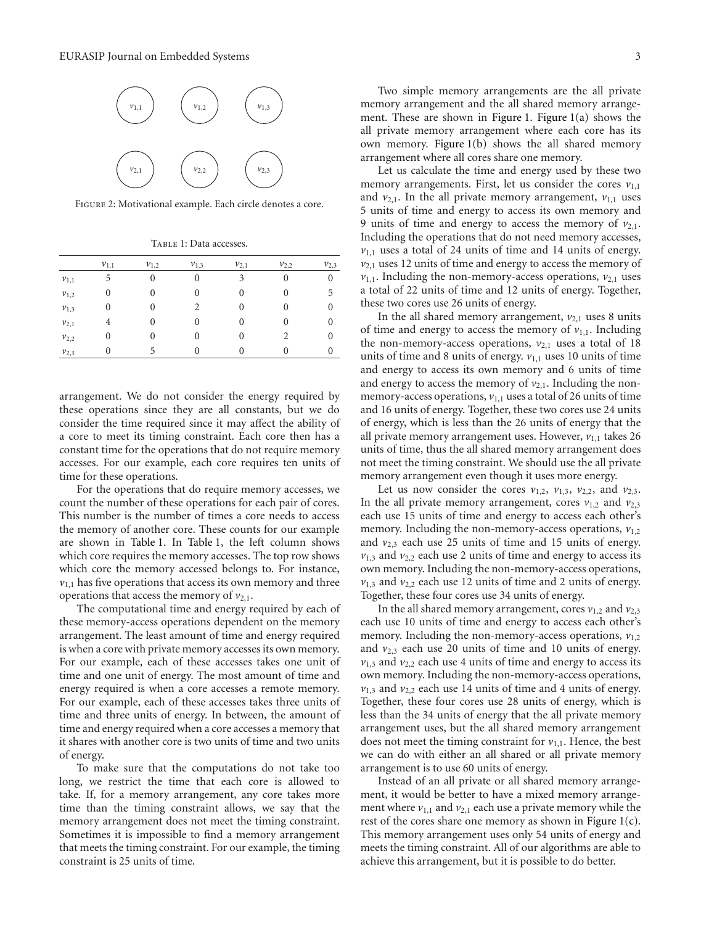

Figure 2: Motivational example. Each circle denotes a core.

Table 1: Data accesses.

|           | $v_{1,1}$ | $v_{1,2}$    | $v_{1,3}$      | $v_{2,1}$ | $v_{2,2}$ | $v_{2,3}$ |
|-----------|-----------|--------------|----------------|-----------|-----------|-----------|
| $v_{1,1}$ | 5         | $\mathbf{0}$ | $\overline{0}$ | 3         | 0         | 0         |
| $v_{1,2}$ | 0         | $\theta$     | $\theta$       | $\theta$  | 0         | 5         |
| $v_{1,3}$ | 0         | $\Omega$     |                | $\theta$  | 0         | 0         |
| $v_{2,1}$ | 4         | $\Omega$     | $\theta$       | $\theta$  | 0         | 0         |
| $v_{2,2}$ | 0         | $\Omega$     | $\theta$       | $\theta$  | 2         | 0         |
| $v_{2,3}$ | 0         | 5            | $\theta$       | 0         | 0         |           |

arrangement. We do not consider the energy required by these operations since they are all constants, but we do consider the time required since it may affect the ability of a core to meet its timing constraint. Each core then has a constant time for the operations that do not require memory accesses. For our example, each core requires ten units of time for these operations.

For the operations that do require memory accesses, we count the number of these operations for each pair of cores. This number is the number of times a core needs to access the memory of another core. These counts for our example are shown in Table 1. In Table 1, the left column shows which core requires the memory accesses. The top row shows which core the memory accessed belongs to. For instance,  $v_{1,1}$  has five operations that access its own memory and three operations that access the memory of  $v_{2,1}$ .

The computational time and energy required by each of these memory-access operations dependent on the memory arrangement. The least amount of time and energy required is when a core with private memory accesses its own memory. For our example, each of these accesses takes one unit of time and one unit of energy. The most amount of time and energy required is when a core accesses a remote memory. For our example, each of these accesses takes three units of time and three units of energy. In between, the amount of time and energy required when a core accesses a memory that it shares with another core is two units of time and two units of energy.

To make sure that the computations do not take too long, we restrict the time that each core is allowed to take. If, for a memory arrangement, any core takes more time than the timing constraint allows, we say that the memory arrangement does not meet the timing constraint. Sometimes it is impossible to find a memory arrangement that meets the timing constraint. For our example, the timing constraint is 25 units of time.

Two simple memory arrangements are the all private memory arrangement and the all shared memory arrangement. These are shown in Figure 1. Figure  $1(a)$  shows the all private memory arrangement where each core has its own memory. Figure 1(b) shows the all shared memory arrangement where all cores share one memory.

Let us calculate the time and energy used by these two memory arrangements. First, let us consider the cores  $v_{1,1}$ and  $v_{2,1}$ . In the all private memory arrangement,  $v_{1,1}$  uses 5 units of time and energy to access its own memory and 9 units of time and energy to access the memory of  $v_{2,1}$ . Including the operations that do not need memory accesses, *v*1,1 uses a total of 24 units of time and 14 units of energy. *v*2,1 uses 12 units of time and energy to access the memory of  $v_{1,1}$ . Including the non-memory-access operations,  $v_{2,1}$  uses a total of 22 units of time and 12 units of energy. Together, these two cores use 26 units of energy.

In the all shared memory arrangement,  $v_{2,1}$  uses 8 units of time and energy to access the memory of  $v_{1,1}$ . Including the non-memory-access operations,  $v_{2,1}$  uses a total of 18 units of time and 8 units of energy.  $v_{1,1}$  uses 10 units of time and energy to access its own memory and 6 units of time and energy to access the memory of  $v_{2,1}$ . Including the nonmemory-access operations,  $v_{1,1}$  uses a total of 26 units of time and 16 units of energy. Together, these two cores use 24 units of energy, which is less than the 26 units of energy that the all private memory arrangement uses. However,  $v_{1,1}$  takes 26 units of time, thus the all shared memory arrangement does not meet the timing constraint. We should use the all private memory arrangement even though it uses more energy.

Let us now consider the cores  $v_{1,2}$ ,  $v_{1,3}$ ,  $v_{2,2}$ , and  $v_{2,3}$ . In the all private memory arrangement, cores  $v_{1,2}$  and  $v_{2,3}$ each use 15 units of time and energy to access each other's memory. Including the non-memory-access operations,  $v_{1,2}$ and  $v_{2,3}$  each use 25 units of time and 15 units of energy.  $v_{1,3}$  and  $v_{2,2}$  each use 2 units of time and energy to access its own memory. Including the non-memory-access operations,  $v_{1,3}$  and  $v_{2,2}$  each use 12 units of time and 2 units of energy. Together, these four cores use 34 units of energy.

In the all shared memory arrangement, cores  $v_{1,2}$  and  $v_{2,3}$ each use 10 units of time and energy to access each other's memory. Including the non-memory-access operations, *v*1,2 and  $v_{2,3}$  each use 20 units of time and 10 units of energy.  $v_{1,3}$  and  $v_{2,2}$  each use 4 units of time and energy to access its own memory. Including the non-memory-access operations,  $v_{1,3}$  and  $v_{2,2}$  each use 14 units of time and 4 units of energy. Together, these four cores use 28 units of energy, which is less than the 34 units of energy that the all private memory arrangement uses, but the all shared memory arrangement does not meet the timing constraint for  $v_{1,1}$ . Hence, the best we can do with either an all shared or all private memory arrangement is to use 60 units of energy.

Instead of an all private or all shared memory arrangement, it would be better to have a mixed memory arrangement where  $v_{1,1}$  and  $v_{2,1}$  each use a private memory while the rest of the cores share one memory as shown in Figure 1(c). This memory arrangement uses only 54 units of energy and meets the timing constraint. All of our algorithms are able to achieve this arrangement, but it is possible to do better.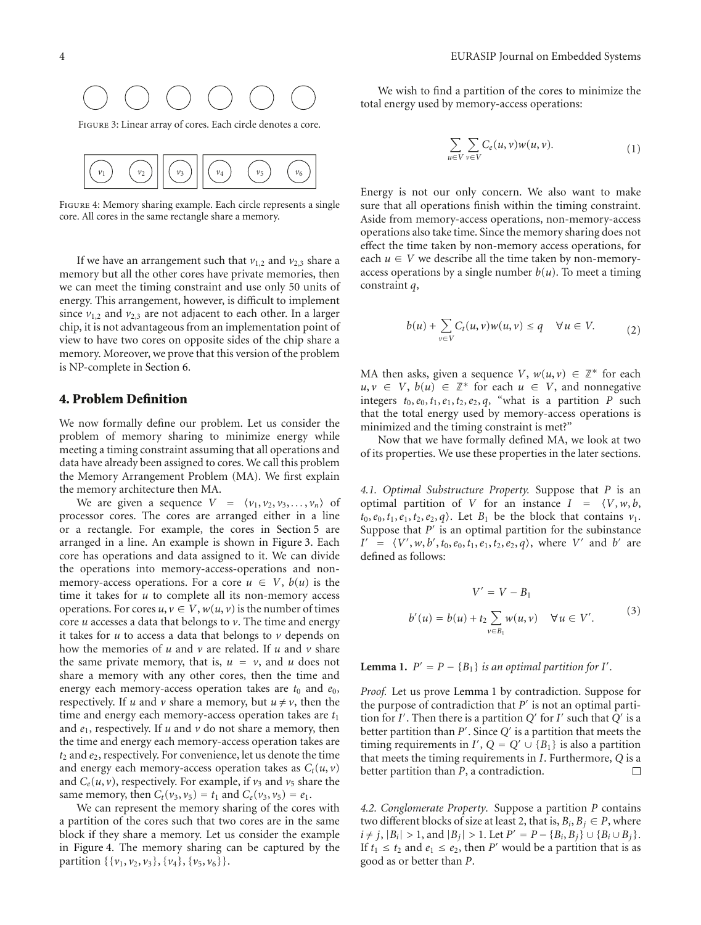Figure 3: Linear array of cores. Each circle denotes a core.



Figure 4: Memory sharing example. Each circle represents a single core. All cores in the same rectangle share a memory.

If we have an arrangement such that  $v_{1,2}$  and  $v_{2,3}$  share a memory but all the other cores have private memories, then we can meet the timing constraint and use only 50 units of energy. This arrangement, however, is difficult to implement since  $v_{1,2}$  and  $v_{2,3}$  are not adjacent to each other. In a larger chip, it is not advantageous from an implementation point of view to have two cores on opposite sides of the chip share a memory. Moreover, we prove that this version of the problem is NP-complete in Section 6.

## **4. Problem Definition**

We now formally define our problem. Let us consider the problem of memory sharing to minimize energy while meeting a timing constraint assuming that all operations and data have already been assigned to cores. We call this problem the Memory Arrangement Problem (MA). We first explain the memory architecture then MA.

We are given a sequence  $V = \langle v_1, v_2, v_3, \dots, v_n \rangle$  of processor cores. The cores are arranged either in a line or a rectangle. For example, the cores in Section 5 are arranged in a line. An example is shown in Figure 3. Each core has operations and data assigned to it. We can divide the operations into memory-access-operations and nonmemory-access operations. For a core  $u \in V$ ,  $b(u)$  is the time it takes for *u* to complete all its non-memory access operations. For cores  $u, v \in V$ ,  $w(u, v)$  is the number of times core *u* accesses a data that belongs to *v*. The time and energy it takes for *u* to access a data that belongs to *v* depends on how the memories of *u* and *v* are related. If *u* and *v* share the same private memory, that is,  $u = v$ , and *u* does not share a memory with any other cores, then the time and energy each memory-access operation takes are  $t_0$  and  $e_0$ , respectively. If *u* and *v* share a memory, but  $u \neq v$ , then the time and energy each memory-access operation takes are  $t_1$ and *e*1, respectively. If *u* and *v* do not share a memory, then the time and energy each memory-access operation takes are  $t_2$  and  $e_2$ , respectively. For convenience, let us denote the time and energy each memory-access operation takes as  $C_t(u, v)$ and  $C_e(u, v)$ , respectively. For example, if  $v_3$  and  $v_5$  share the same memory, then  $C_t(v_3, v_5) = t_1$  and  $C_e(v_3, v_5) = e_1$ .

We can represent the memory sharing of the cores with a partition of the cores such that two cores are in the same block if they share a memory. Let us consider the example in Figure 4. The memory sharing can be captured by the partition  $\{\{v_1, v_2, v_3\}, \{v_4\}, \{v_5, v_6\}\}.$ 

We wish to find a partition of the cores to minimize the total energy used by memory-access operations:

$$
\sum_{u \in V} \sum_{v \in V} C_e(u, v) w(u, v).
$$
 (1)

Energy is not our only concern. We also want to make sure that all operations finish within the timing constraint. Aside from memory-access operations, non-memory-access operations also take time. Since the memory sharing does not effect the time taken by non-memory access operations, for each  $u \in V$  we describe all the time taken by non-memoryaccess operations by a single number  $b(u)$ . To meet a timing constraint *q*,

$$
b(u) + \sum_{v \in V} C_t(u, v) w(u, v) \le q \quad \forall u \in V. \tag{2}
$$

MA then asks, given a sequence *V*,  $w(u, v) \in \mathbb{Z}^*$  for each  $u, v \in V$ ,  $b(u) \in \mathbb{Z}^*$  for each  $u \in V$ , and nonnegative integers  $t_0$ ,  $e_0$ ,  $t_1$ ,  $e_1$ ,  $t_2$ ,  $e_2$ ,  $q$ , "what is a partition *P* such that the total energy used by memory-access operations is minimized and the timing constraint is met?"

Now that we have formally defined MA, we look at two of its properties. We use these properties in the later sections.

*4.1. Optimal Substructure Property.* Suppose that *P* is an optimal partition of *V* for an instance  $I = \langle V, w, b, \rangle$  $t_0, e_0, t_1, e_1, t_2, e_2, q$ . Let  $B_1$  be the block that contains  $v_1$ . Suppose that  $P'$  is an optimal partition for the subinstance  $I' = \langle V', w, b', t_0, e_0, t_1, e_1, t_2, e_2, q \rangle$ , where *V'* and *b'* are defined as follows:

$$
V' = V - B_1
$$
  

$$
b'(u) = b(u) + t_2 \sum_{v \in B_1} w(u, v) \quad \forall u \in V'. \tag{3}
$$

**Lemma 1.**  $P' = P - \{B_1\}$  *is an optimal partition for I'*.

*Proof.* Let us prove Lemma 1 by contradiction. Suppose for the purpose of contradiction that  $P'$  is not an optimal partition for  $I'$ . Then there is a partition  $Q'$  for  $I'$  such that  $Q'$  is a better partition than *P* . Since *Q* is a partition that meets the timing requirements in *I'*,  $Q = Q' \cup \{B_1\}$  is also a partition that meets the timing requirements in *I*. Furthermore, *Q* is a better partition than *P*, a contradiction.  $\Box$ 

*4.2. Conglomerate Property.* Suppose a partition *P* contains two different blocks of size at least 2, that is,  $B_i, B_j \in P$ , where  $i \neq j$ ,  $|B_i| > 1$ , and  $|B_j| > 1$ . Let  $P' = P - \{B_i, B_j\} \cup \{B_i \cup B_j\}.$ If  $t_1 \leq t_2$  and  $e_1 \leq e_2$ , then *P'* would be a partition that is as good as or better than *P*.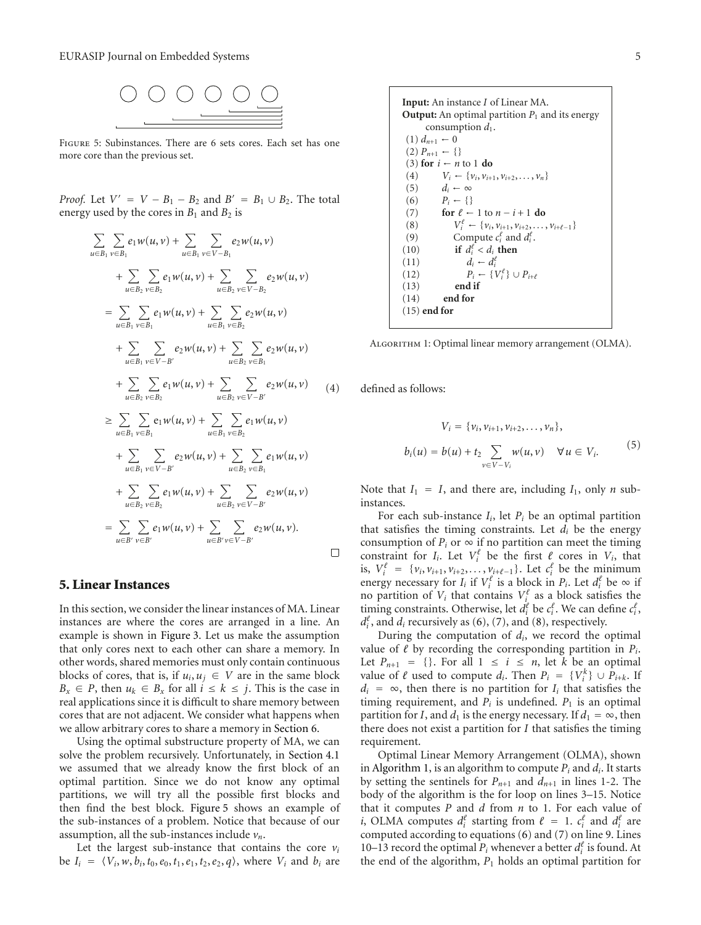

Figure 5: Subinstances. There are 6 sets cores. Each set has one more core than the previous set.

*Proof.* Let  $V' = V - B_1 - B_2$  and  $B' = B_1 \cup B_2$ . The total energy used by the cores in  $B_1$  and  $B_2$  is

$$
\sum_{u \in B_1} \sum_{v \in B_1} e_1 w(u, v) + \sum_{u \in B_1} \sum_{v \in V - B_1} e_2 w(u, v) \n+ \sum_{u \in B_2} \sum_{v \in B_2} e_1 w(u, v) + \sum_{u \in B_2} \sum_{v \in V - B_2} e_2 w(u, v) \n= \sum_{u \in B_1} \sum_{v \in B_1} e_1 w(u, v) + \sum_{u \in B_1} \sum_{v \in B_2} e_2 w(u, v) \n+ \sum_{u \in B_1} \sum_{v \in V - B'} e_2 w(u, v) + \sum_{u \in B_2} \sum_{v \in B_1} e_2 w(u, v) \n+ \sum_{u \in B_2} \sum_{v \in B_2} e_1 w(u, v) + \sum_{u \in B_2} \sum_{v \in V - B'} e_2 w(u, v) \n\geq \sum_{u \in B_1} \sum_{v \in B_1} e_1 w(u, v) + \sum_{u \in B_1} \sum_{v \in B_2} e_1 w(u, v) \n+ \sum_{u \in B_1} \sum_{v \in V - B'} e_2 w(u, v) + \sum_{u \in B_2} \sum_{v \in B_1} e_1 w(u, v) \n+ \sum_{u \in B_2} \sum_{v \in B_2} e_1 w(u, v) + \sum_{u \in B_2} \sum_{v \in B_1} e_2 w(u, v) \n= \sum_{u \in B'} \sum_{v \in B'} e_1 w(u, v) + \sum_{u \in B'} \sum_{v \in V - B'} e_2 w(u, v).
$$

 $\Box$ 

## **5. Linear Instances**

In this section, we consider the linear instances of MA. Linear instances are where the cores are arranged in a line. An example is shown in Figure 3. Let us make the assumption that only cores next to each other can share a memory. In other words, shared memories must only contain continuous blocks of cores, that is, if  $u_i, u_j \in V$  are in the same block *B<sub>x</sub>* ∈ *P*, then  $u_k$  ∈ *B<sub>x</sub>* for all  $i \le k \le j$ . This is the case in real applications since it is difficult to share memory between cores that are not adjacent. We consider what happens when we allow arbitrary cores to share a memory in Section 6.

Using the optimal substructure property of MA, we can solve the problem recursively. Unfortunately, in Section 4.1 we assumed that we already know the first block of an optimal partition. Since we do not know any optimal partitions, we will try all the possible first blocks and then find the best block. Figure 5 shows an example of the sub-instances of a problem. Notice that because of our assumption, all the sub-instances include  $v_n$ .

Let the largest sub-instance that contains the core  $v_i$  $be \ I_i = \langle V_i, w, b_i, t_0, e_0, t_1, e_1, t_2, e_2, q \rangle$ , where  $V_i$  and  $b_i$  are





defined as follows:

$$
V_i = \{v_i, v_{i+1}, v_{i+2}, \dots, v_n\},
$$
  

$$
b_i(u) = b(u) + t_2 \sum_{v \in V - V_i} w(u, v) \quad \forall u \in V_i.
$$
 (5)

Note that  $I_1 = I$ , and there are, including  $I_1$ , only *n* subinstances.

For each sub-instance *Ii*, let *Pi* be an optimal partition that satisfies the timing constraints. Let  $d_i$  be the energy consumption of  $P_i$  or  $\infty$  if no partition can meet the timing constraint for  $I_i$ . Let  $V_i^{\ell}$  be the first  $\ell$  cores in  $V_i$ , that is,  $V_i^{\ell} = \{v_i, v_{i+1}, v_{i+2}, \dots, v_{i+\ell-1}\}\$ . Let  $c_i^{\ell}$  be the minimum energy necessary for *I<sub>i</sub>* if  $V_i^{\ell}$  is a block in *P<sub>i</sub>*. Let  $d_i^{\ell}$  be  $\infty$  if no partition of  $V_i$  that contains  $V_i^{\ell}$  as a block satisfies the timing constraints. Otherwise, let  $d_i^{\ell}$  be  $c_i^{\ell}$ . We can define  $c_i^{\ell}$ ,  $d_i^{\ell}$ , and  $d_i$  recursively as (6), (7), and (8), respectively.

During the computation of *di*, we record the optimal value of  $\ell$  by recording the corresponding partition in  $P_i$ . Let  $P_{n+1} = \{\}$ . For all  $1 \le i \le n$ , let *k* be an optimal value of  $\ell$  used to compute  $d_i$ . Then  $P_i = \{V_i^k\} \cup P_{i+k}$ . If  $d_i = \infty$ , then there is no partition for  $I_i$  that satisfies the timing requirement, and  $P_i$  is undefined.  $P_1$  is an optimal partition for *I*, and  $d_1$  is the energy necessary. If  $d_1 = \infty$ , then there does not exist a partition for *I* that satisfies the timing requirement.

Optimal Linear Memory Arrangement (OLMA), shown in Algorithm 1, is an algorithm to compute *Pi* and *di*. It starts by setting the sentinels for  $P_{n+1}$  and  $d_{n+1}$  in lines 1-2. The body of the algorithm is the for loop on lines 3–15. Notice that it computes *P* and *d* from *n* to 1. For each value of *i*, OLMA computes  $d_i^{\ell}$  starting from  $\ell = 1$ .  $c_i^{\ell}$  and  $d_i^{\ell}$  are computed according to equations (6) and (7) on line 9. Lines 10–13 record the optimal  $P_i$  whenever a better  $d_i^{\ell}$  is found. At the end of the algorithm, *P*<sup>1</sup> holds an optimal partition for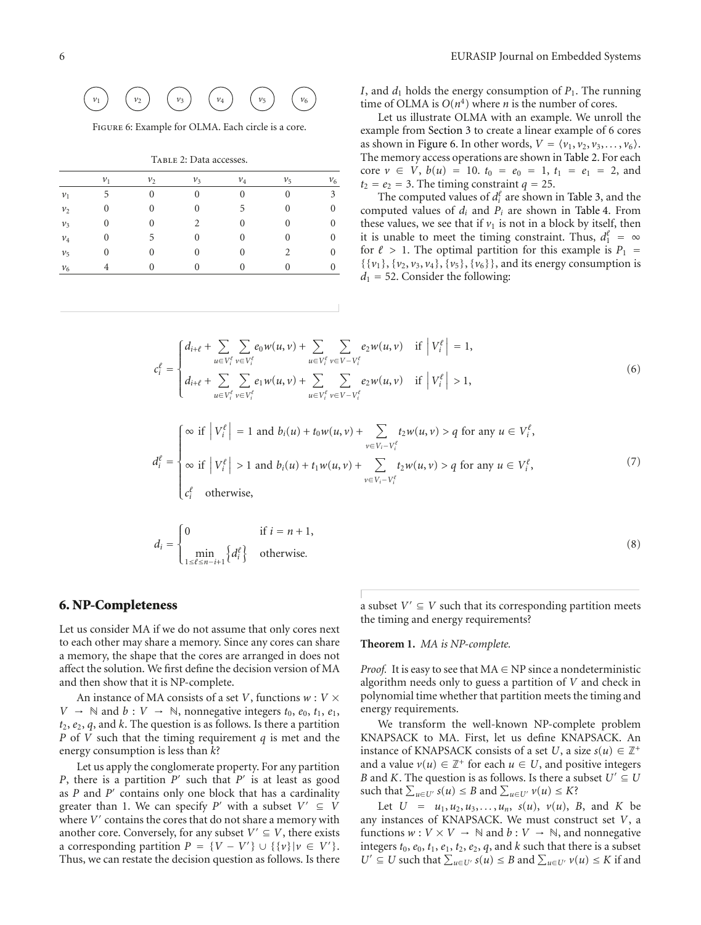

Figure 6: Example for OLMA. Each circle is a core.

Table 2: Data accesses.

|         | $v_1$ | $v_2$          | $v_3$          | $v_4$        | $v_5$          | $v_6$          |
|---------|-------|----------------|----------------|--------------|----------------|----------------|
| $v_1$   | 5     | $\overline{0}$ | $\overline{0}$ | $\mathbf{0}$ | $\theta$       | 3              |
| $v_2$   | 0     | $\theta$       | $\theta$       | 5            | $\theta$       | $\overline{0}$ |
| $\nu_3$ | 0     | $\theta$       | $\mathfrak{D}$ | $\Omega$     | $\theta$       | $\overline{0}$ |
| $v_4$   | 0     | 5              | $\mathbf{0}$   | $\mathbf{0}$ | $\theta$       | $\overline{0}$ |
| $v_5$   | 0     | $\theta$       | $\theta$       | $\theta$     | $\mathfrak{D}$ | $\theta$       |
| $v_6$   |       |                | $\theta$       | 0            | $\Omega$       | $\theta$       |
|         |       |                |                |              |                |                |

*I*, and  $d_1$  holds the energy consumption of  $P_1$ . The running time of OLMA is  $O(n^4)$  where *n* is the number of cores.

Let us illustrate OLMA with an example. We unroll the example from Section 3 to create a linear example of 6 cores as shown in Figure 6. In other words,  $V = \langle v_1, v_2, v_3, \dots, v_6 \rangle$ . The memory access operations are shown in Table 2. For each core  $v \in V$ ,  $b(u) = 10$ .  $t_0 = e_0 = 1$ ,  $t_1 = e_1 = 2$ , and  $t_2 = e_2 = 3$ . The timing constraint  $q = 25$ .

The computed values of  $d_i^{\ell}$  are shown in Table 3, and the computed values of *di* and *Pi* are shown in Table 4. From these values, we see that if  $v_1$  is not in a block by itself, then it is unable to meet the timing constraint. Thus,  $d_1^{\ell} = \infty$ for  $\ell > 1$ . The optimal partition for this example is  $P_1$  =  $\{\{v_1\}, \{v_2, v_3, v_4\}, \{v_5\}, \{v_6\}\}\$ , and its energy consumption is  $d_1 = 52$ . Consider the following:

$$
c_i^{\ell} = \begin{cases} d_{i+\ell} + \sum_{u \in V_i^{\ell}} \sum_{v \in V_i^{\ell}} e_0 w(u,v) + \sum_{u \in V_i^{\ell}} \sum_{v \in V - V_i^{\ell}} e_2 w(u,v) & \text{if } \left| V_i^{\ell} \right| = 1, \\ d_{i+\ell} + \sum_{u \in V_i^{\ell}} \sum_{v \in V_i^{\ell}} e_1 w(u,v) + \sum_{u \in V_i^{\ell}} \sum_{v \in V - V_i^{\ell}} e_2 w(u,v) & \text{if } \left| V_i^{\ell} \right| > 1, \end{cases}
$$
(6)

$$
d_i^{\ell} = \begin{cases} \infty \text{ if } \left| V_i^{\ell} \right| = 1 \text{ and } b_i(u) + t_0 w(u, v) + \sum_{v \in V_i - V_i^{\ell}} t_2 w(u, v) > q \text{ for any } u \in V_i^{\ell}, \\ \infty \text{ if } \left| V_i^{\ell} \right| > 1 \text{ and } b_i(u) + t_1 w(u, v) + \sum_{v \in V_i - V_i^{\ell}} t_2 w(u, v) > q \text{ for any } u \in V_i^{\ell}, \\ c_i^{\ell} \text{ otherwise,} \end{cases}
$$
(7)

$$
d_i = \begin{cases} 0 & \text{if } i = n+1, \\ \min_{1 \le \ell \le n-i+1} \left\{ d_i^{\ell} \right\} & \text{otherwise.} \end{cases}
$$
 (8)

## **6. NP-Completeness**

*di* =

Let us consider MA if we do not assume that only cores next to each other may share a memory. Since any cores can share a memory, the shape that the cores are arranged in does not affect the solution. We first define the decision version of MA and then show that it is NP-complete.

An instance of MA consists of a set *V*, functions *w* : *V* ×  $V \rightarrow \mathbb{N}$  and  $b: V \rightarrow \mathbb{N}$ , nonnegative integers  $t_0, e_0, t_1, e_1$ , *t*2, *e*2, *q*, and *k*. The question is as follows. Is there a partition *P* of *V* such that the timing requirement *q* is met and the energy consumption is less than *k*?

Let us apply the conglomerate property. For any partition *P*, there is a partition *P'* such that *P'* is at least as good as *P* and *P* contains only one block that has a cardinality greater than 1. We can specify  $P'$  with a subset  $V' \subseteq V$ where V' contains the cores that do not share a memory with another core. Conversely, for any subset  $V' \subseteq V$ , there exists a corresponding partition  $P = \{V - V'\} \cup \{\{v\} | v \in V'\}.$ Thus, we can restate the decision question as follows. Is there

a subset  $V' \subseteq V$  such that its corresponding partition meets the timing and energy requirements?

#### **Theorem 1.** *MA is NP-complete.*

*Proof.* It is easy to see that  $MA \in NP$  since a nondeterministic algorithm needs only to guess a partition of *V* and check in polynomial time whether that partition meets the timing and energy requirements.

We transform the well-known NP-complete problem KNAPSACK to MA. First, let us define KNAPSACK. An instance of KNAPSACK consists of a set *U*, a size  $s(u) \in \mathbb{Z}^+$ and a value  $v(u) \in \mathbb{Z}^+$  for each  $u \in U$ , and positive integers *B* and *K*. The question is as follows. Is there a subset  $U' \subseteq U$ such that  $\sum_{u \in U'} s(u) \leq B$  and  $\sum_{u \in U'} v(u) \leq K$ ?

Let  $U = u_1, u_2, u_3, \ldots, u_n, s(u), v(u), B, \text{ and } K \text{ be}$ any instances of KNAPSACK. We must construct set *V*, a functions  $w: V \times V \rightarrow \mathbb{N}$  and  $b: V \rightarrow \mathbb{N}$ , and nonnegative integers  $t_0$ ,  $e_0$ ,  $t_1$ ,  $e_1$ ,  $t_2$ ,  $e_2$ ,  $q$ , and  $k$  such that there is a subset  $U' \subseteq U$  such that  $\sum_{u \in U'} s(u) \leq B$  and  $\sum_{u \in U'} v(u) \leq K$  if and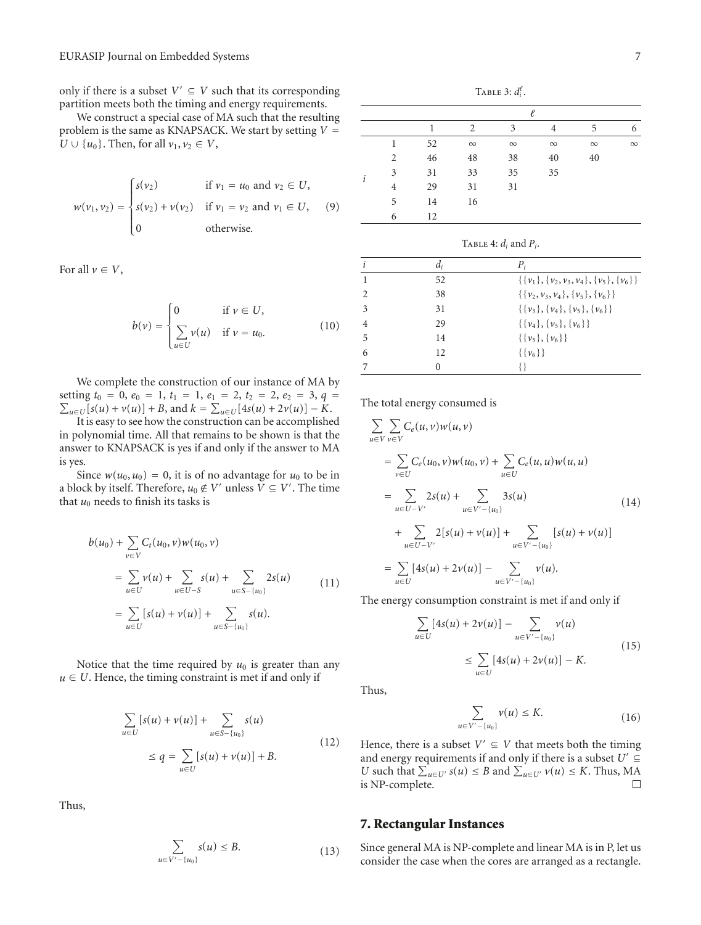only if there is a subset  $V' ⊆ V$  such that its corresponding partition meets both the timing and energy requirements.

We construct a special case of MA such that the resulting problem is the same as KNAPSACK. We start by setting  $V =$  $U \cup \{u_0\}$ . Then, for all  $v_1, v_2 \in V$ ,

$$
w(v_1, v_2) = \begin{cases} s(v_2) & \text{if } v_1 = u_0 \text{ and } v_2 \in U, \\ s(v_2) + v(v_2) & \text{if } v_1 = v_2 \text{ and } v_1 \in U, \\ 0 & \text{otherwise.} \end{cases}
$$
(9)

For all  $v \in V$ ,

$$
b(v) = \begin{cases} 0 & \text{if } v \in U, \\ \sum_{u \in U} v(u) & \text{if } v = u_0. \end{cases}
$$
 (10)

We complete the construction of our instance of MA by  $\sum_{u \in U} [s(u) + v(u)] + B$ , and  $k = \sum_{u \in U} [4s(u) + 2v(u)] - K$ . setting  $t_0 = 0$ ,  $e_0 = 1$ ,  $t_1 = 1$ ,  $e_1 = 2$ ,  $t_2 = 2$ ,  $e_2 = 3$ ,  $q =$ 

It is easy to see how the construction can be accomplished in polynomial time. All that remains to be shown is that the answer to KNAPSACK is yes if and only if the answer to MA is yes.

Since  $w(u_0, u_0) = 0$ , it is of no advantage for  $u_0$  to be in a block by itself. Therefore,  $u_0 \notin V'$  unless  $V \subseteq V'$ . The time that  $u_0$  needs to finish its tasks is

$$
b(u_0) + \sum_{v \in V} C_t(u_0, v) w(u_0, v)
$$
  
=  $\sum_{u \in U} v(u) + \sum_{u \in U-S} s(u) + \sum_{u \in S - \{u_0\}} 2s(u)$  (11)  
=  $\sum_{u \in U} [s(u) + v(u)] + \sum_{u \in S - \{u_0\}} s(u).$ 

Notice that the time required by  $u_0$  is greater than any  $u \in U$ . Hence, the timing constraint is met if and only if

$$
\sum_{u \in U} [s(u) + v(u)] + \sum_{u \in S - \{u_0\}} s(u)
$$
  
\n
$$
\leq q = \sum_{u \in U} [s(u) + v(u)] + B.
$$
\n(12)

Thus,

$$
\sum_{u \in V' - \{u_0\}} s(u) \le B.
$$
\n(13)

TABLE 3:  $d_i^{\ell}$ .

|   |   | 1  | 2        | 3        | 4        | 5        | 6        |
|---|---|----|----------|----------|----------|----------|----------|
|   |   | 52 | $\infty$ | $\infty$ | $\infty$ | $\infty$ | $\infty$ |
|   | 2 | 46 | 48       | 38       | 40       | 40       |          |
| i | 3 | 31 | 33       | 35       | 35       |          |          |
|   | 4 | 29 | 31       | 31       |          |          |          |
|   | 5 | 14 | 16       |          |          |          |          |
|   | 6 | 12 |          |          |          |          |          |
|   |   |    |          |          |          |          |          |

TABLE 4:  $d_i$  and  $P_i$ .

| i              | $d_i$ | $P_i$                                               |
|----------------|-------|-----------------------------------------------------|
| 1              | 52    | $\{\{v_1\}, \{v_2, v_3, v_4\}, \{v_5\}, \{v_6\}\}\$ |
| $\overline{c}$ | 38    | $\{\{v_2, v_3, v_4\}, \{v_5\}, \{v_6\}\}\$          |
| 3              | 31    | $\{\{v_3\}, \{v_4\}, \{v_5\}, \{v_6\}\}\$           |
| $\overline{4}$ | 29    | $\{\{\nu_4\}, \{\nu_5\}, \{\nu_6\}\}\$              |
| 5              | 14    | $\{\{v_5\}, \{v_6\}\}\$                             |
| 6              | 12    | $\{ \{ \nu_6 \} \}$                                 |
| 7              | 0     | 11                                                  |

The total energy consumed is

$$
\sum_{u \in V} \sum_{v \in V} C_e(u, v) w(u, v)
$$
\n
$$
= \sum_{v \in U} C_e(u_0, v) w(u_0, v) + \sum_{u \in U} C_e(u, u) w(u, u)
$$
\n
$$
= \sum_{u \in U - V'} 2s(u) + \sum_{u \in V' - \{u_0\}} 3s(u)
$$
\n
$$
+ \sum_{u \in U - V'} 2[s(u) + v(u)] + \sum_{u \in V' - \{u_0\}} [s(u) + v(u)]
$$
\n
$$
= \sum_{u \in U} [4s(u) + 2v(u)] - \sum_{u \in V' - \{u_0\}} v(u).
$$
\n(14)

The energy consumption constraint is met if and only if

$$
\sum_{u \in U} [4s(u) + 2v(u)] - \sum_{u \in V' - \{u_0\}} v(u)
$$
  
\n
$$
\leq \sum_{u \in U} [4s(u) + 2v(u)] - K.
$$
\n(15)

Thus,

*u*∈*V*

$$
\sum_{u \in V' - \{u_0\}} \nu(u) \le K. \tag{16}
$$

Hence, there is a subset  $V' \subseteq V$  that meets both the timing and energy requirements if and only if there is a subset  $U' \subseteq$ *U* such that  $\sum_{u \in U'} s(u) \leq B$  and  $\sum_{u \in U'} v(u) \leq K$ . Thus, MA is NP-complete.

## **7. Rectangular Instances**

Since general MA is NP-complete and linear MA is in P, let us consider the case when the cores are arranged as a rectangle.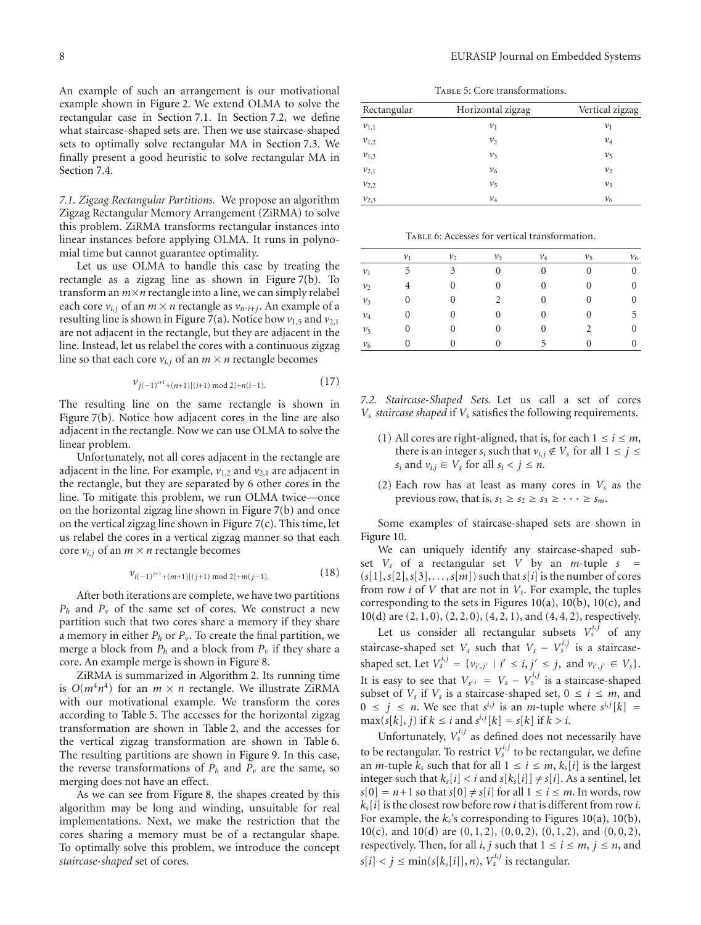An example of such an arrangement is our motivational example shown in Figure 2. We extend OLMA to solve the rectangular case in Section 7.1. In Section 7.2, we define what staircase-shaped sets are. Then we use staircase-shaped sets to optimally solve rectangular MA in Section 7.3. We finally present a good heuristic to solve rectangular MA in Section 7.4.

*7.1. Zigzag Rectangular Partitions.* We propose an algorithm Zigzag Rectangular Memory Arrangement (ZiRMA) to solve this problem. ZiRMA transforms rectangular instances into linear instances before applying OLMA. It runs in polynomial time but cannot guarantee optimality.

Let us use OLMA to handle this case by treating the rectangle as a zigzag line as shown in Figure 7(b). To transform an *m*×*n* rectangle into a line, we can simply relabel each core  $v_{i,j}$  of an  $m \times n$  rectangle as  $v_{n \cdot i+j}$ . An example of a resulting line is shown in Figure 7(a). Notice how  $v_{1,5}$  and  $v_{2,1}$ are not adjacent in the rectangle, but they are adjacent in the line. Instead, let us relabel the cores with a continuous zigzag line so that each core  $v_{i,j}$  of an  $m \times n$  rectangle becomes

$$
\nu_{j(-1)^{i+1} + (n+1)[(i+1) \mod 2] + n(i-1).}
$$
\n(17)

The resulting line on the same rectangle is shown in Figure 7(b). Notice how adjacent cores in the line are also adjacent in the rectangle. Now we can use OLMA to solve the linear problem.

Unfortunately, not all cores adjacent in the rectangle are adjacent in the line. For example,  $v_{1,2}$  and  $v_{2,1}$  are adjacent in the rectangle, but they are separated by 6 other cores in the line. To mitigate this problem, we run OLMA twice—once on the horizontal zigzag line shown in Figure 7(b) and once on the vertical zigzag line shown in Figure  $7(c)$ . This time, let us relabel the cores in a vertical zigzag manner so that each core  $v_{i,j}$  of an  $m \times n$  rectangle becomes

$$
\nu_{i(-1)^{j+1}+(m+1)[(j+1) \mod 2]+m(j-1).}
$$
\n(18)

After both iterations are complete, we have two partitions *Ph* and *Pv* of the same set of cores. We construct a new partition such that two cores share a memory if they share a memory in either  $P_h$  or  $P_v$ . To create the final partition, we merge a block from  $P_h$  and a block from  $P_v$  if they share a core. An example merge is shown in Figure 8.

ZiRMA is summarized in Algorithm 2. Its running time is  $O(m^4n^4)$  for an  $m \times n$  rectangle. We illustrate ZiRMA with our motivational example. We transform the cores according to Table 5. The accesses for the horizontal zigzag transformation are shown in Table 2, and the accesses for the vertical zigzag transformation are shown in Table 6. The resulting partitions are shown in Figure 9. In this case, the reverse transformations of  $P_h$  and  $P_v$  are the same, so merging does not have an effect.

As we can see from Figure 8, the shapes created by this algorithm may be long and winding, unsuitable for real implementations. Next, we make the restriction that the cores sharing a memory must be of a rectangular shape. To optimally solve this problem, we introduce the concept *staircase-shaped* set of cores.

TABLE 5: Core transformations.

| Rectangular | Horizontal zigzag | Vertical zigzag |
|-------------|-------------------|-----------------|
| $v_{1,1}$   | $v_1$             | $v_1$           |
| $v_{1,2}$   | v <sub>2</sub>    | $v_4$           |
| $v_{1,3}$   | $v_3$             | $v_5$           |
| $v_{2,1}$   | $v_6$             | $v_2$           |
| $v_{2,2}$   | $v_{5}$           | $v_3$           |
| $v_{2,3}$   | $\nu_4$           | v <sub>6</sub>  |

Table 6: Accesses for vertical transformation.

|         | $v_1$    | $v_2$    | $v_3$          | $\nu_4$      | $v_5$        | $v_6$          |
|---------|----------|----------|----------------|--------------|--------------|----------------|
| $\nu_1$ | 5        | 3        | $\mathbf{0}$   | $\mathbf{0}$ | $\mathbf{0}$ | $\overline{0}$ |
| $v_2$   | 4        | $\Omega$ | $\theta$       | $\Omega$     | $\theta$     | $\mathbf{0}$   |
| $v_3$   | $\theta$ | $\Omega$ | $\mathfrak{D}$ | $\Omega$     | $\theta$     | $\mathbf{0}$   |
| $\nu_4$ |          | $\theta$ | $\theta$       | $\Omega$     | $\theta$     | 5              |
| $v_5$   | $\theta$ | $\theta$ | $\Omega$       | $\Omega$     | 2            | 0              |
| $v_6$   | 0        | $\theta$ | $\Omega$       | 5            |              | 0              |

*7.2. Staircase-Shaped Sets.* Let us call a set of cores *Vs staircase shaped* if *Vs* satisfies the following requirements.

- (1) All cores are right-aligned, that is, for each  $1 \le i \le m$ , there is an integer  $s_i$  such that  $v_{i,j} \notin V_s$  for all  $1 \leq j \leq j$  $s_i$  and  $v_{i,j} \in V_s$  for all  $s_i < j \leq n$ .
- (2) Each row has at least as many cores in  $V_s$  as the previous row, that is,  $s_1 \geq s_2 \geq s_3 \geq \cdots \geq s_m$ .

Some examples of staircase-shaped sets are shown in Figure 10.

We can uniquely identify any staircase-shaped subset  $V_s$  of a rectangular set  $V$  by an  $m$ -tuple  $s =$  $(s[1], s[2], s[3], \ldots, s[m])$  such that  $s[i]$  is the number of cores from row *i* of *V* that are not in *Vs*. For example, the tuples corresponding to the sets in Figures 10(a), 10(b), 10(c), and 10(d) are (2, 1, 0), (2, 2, 0), (4, 2, 1), and (4, 4, 2), respectively.

Let us consider all rectangular subsets  $V_s^{i,j}$  of any staircase-shaped set  $V_s$  such that  $V_s - V_s^{i,j}$  is a staircaseshaped set. Let  $V_s^{i,j} = \{v_{i',j'} \mid i' \le i, j' \le j, \text{ and } v_{i',j'} \in V_s\}.$ It is easy to see that  $V_{s^{i,j}} = V_s - V_s^{i,j}$  is a staircase-shaped subset of  $V_s$  if  $V_s$  is a staircase-shaped set,  $0 \le i \le m$ , and  $0 \leq j \leq n$ . We see that  $s^{i,j}$  is an *m*-tuple where  $s^{i,j}[k]$  $max(s[k], j)$  if  $k \le i$  and  $s^{i,j}[k] = s[k]$  if  $k > i$ .

Unfortunately,  $V_s^{i,j}$  as defined does not necessarily have to be rectangular. To restrict  $V_s^{i,j}$  to be rectangular, we define an *m*-tuple  $k_s$  such that for all  $1 \le i \le m$ ,  $k_s[i]$  is the largest integer such that  $k_s[i] < i$  and  $s[k_s[i]] \neq s[i]$ . As a sentinel, let  $s[0] = n+1$  so that  $s[0] \neq s[i]$  for all  $1 \leq i \leq m$ . In words, row  $k_s[i]$  is the closest row before row *i* that is different from row *i*. For example, the  $k_s$ 's corresponding to Figures 10(a), 10(b), 10(c), and 10(d) are  $(0, 1, 2)$ ,  $(0, 0, 2)$ ,  $(0, 1, 2)$ , and  $(0, 0, 2)$ , respectively. Then, for all *i*, *j* such that  $1 \le i \le m$ ,  $j \le n$ , and  $s[i] < j \le \min(s[k_s[i]], n), V_s^{i,j}$  is rectangular.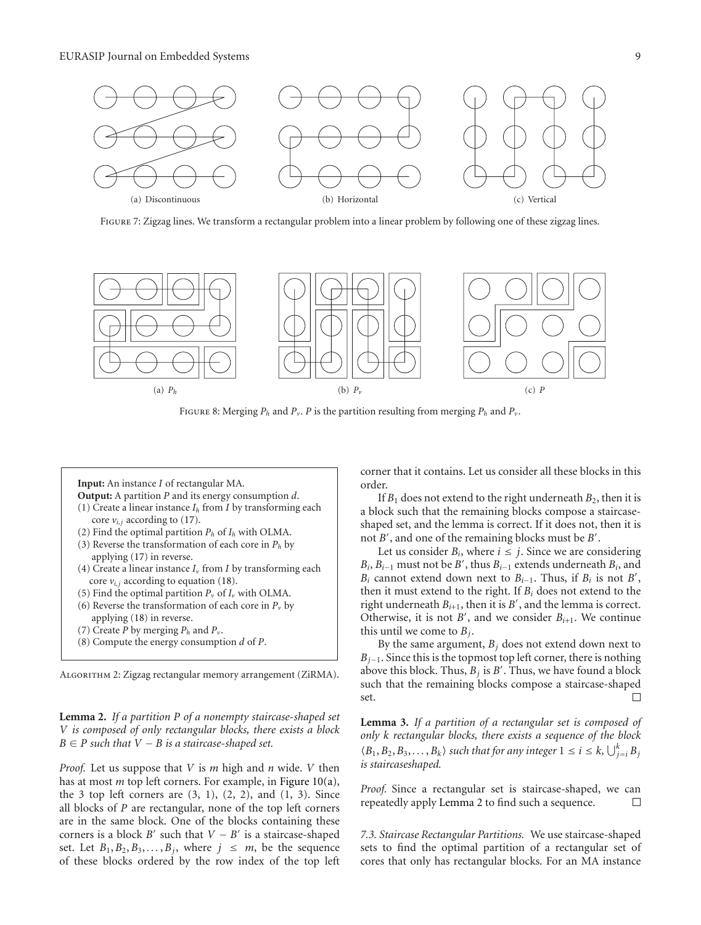

FIGURE 7: Zigzag lines. We transform a rectangular problem into a linear problem by following one of these zigzag lines.



FIGURE 8: Merging  $P_h$  and  $P_v$ .  $P$  is the partition resulting from merging  $P_h$  and  $P_v$ .

**Input:** An instance *I* of rectangular MA.

- **Output:** A partition *P* and its energy consumption *d*. (1) Create a linear instance  $I<sub>h</sub>$  from *I* by transforming each core  $v_{i,j}$  according to (17).
- (2) Find the optimal partition  $P_h$  of  $I_h$  with OLMA.
- (3) Reverse the transformation of each core in *Ph* by applying (17) in reverse.
- (4) Create a linear instance  $I<sub>v</sub>$  from *I* by transforming each core  $v_{i,j}$  according to equation (18).
- (5) Find the optimal partition  $P_v$  of  $I_v$  with OLMA.
- (6) Reverse the transformation of each core in  $P_v$  by applying (18) in reverse.
- (7) Create *P* by merging  $P_h$  and  $P_v$ .
- (8) Compute the energy consumption *d* of *P*.

ALGORITHM 2: Zigzag rectangular memory arrangement (ZiRMA).

**Lemma 2.** *If a partition P of a nonempty staircase-shaped set V is composed of only rectangular blocks, there exists a block*  $B \in P$  *such that*  $V - B$  *is a staircase-shaped set.* 

*Proof.* Let us suppose that *V* is *m* high and *n* wide. *V* then has at most *m* top left corners. For example, in Figure 10(a), the 3 top left corners are  $(3, 1)$ ,  $(2, 2)$ , and  $(1, 3)$ . Since all blocks of *P* are rectangular, none of the top left corners are in the same block. One of the blocks containing these corners is a block *B'* such that  $V - B'$  is a staircase-shaped set. Let  $B_1, B_2, B_3, \ldots, B_j$ , where  $j \leq m$ , be the sequence of these blocks ordered by the row index of the top left

corner that it contains. Let us consider all these blocks in this order.

If  $B_1$  does not extend to the right underneath  $B_2$ , then it is a block such that the remaining blocks compose a staircaseshaped set, and the lemma is correct. If it does not, then it is not *B* , and one of the remaining blocks must be *B* .

Let us consider  $B_i$ , where  $i \leq j$ . Since we are considering  $B_i$ ,  $B_{i-1}$  must not be *B*<sup> $\prime$ </sup>, thus  $B_{i-1}$  extends underneath  $B_i$ , and *B<sub>i</sub>* cannot extend down next to *B<sub>i−1</sub>*. Thus, if *B<sub>i</sub>* is not *B*<sup>'</sup>, then it must extend to the right. If *Bi* does not extend to the right underneath  $B_{i+1}$ , then it is  $B'$ , and the lemma is correct. Otherwise, it is not  $B'$ , and we consider  $B_{i+1}$ . We continue this until we come to  $B_i$ .

By the same argument,  $B_j$  does not extend down next to *B*<sub>*j*−1</sub>. Since this is the topmost top left corner, there is nothing above this block. Thus,  $B_j$  is  $B'$ . Thus, we have found a block such that the remaining blocks compose a staircase-shaped set.  $\Box$ 

**Lemma 3.** *If a partition of a rectangular set is composed of only k rectangular blocks, there exists a sequence of the block*  $\langle B_1, B_2, B_3, \ldots, B_k \rangle$  such that for any integer  $1 \le i \le k$ ,  $\bigcup_{j=i}^k B_j$ *is staircaseshaped.*

*Proof.* Since a rectangular set is staircase-shaped, we can repeatedly apply Lemma 2 to find such a sequence.  $\Box$ 

*7.3. Staircase Rectangular Partitions.* We use staircase-shaped sets to find the optimal partition of a rectangular set of cores that only has rectangular blocks. For an MA instance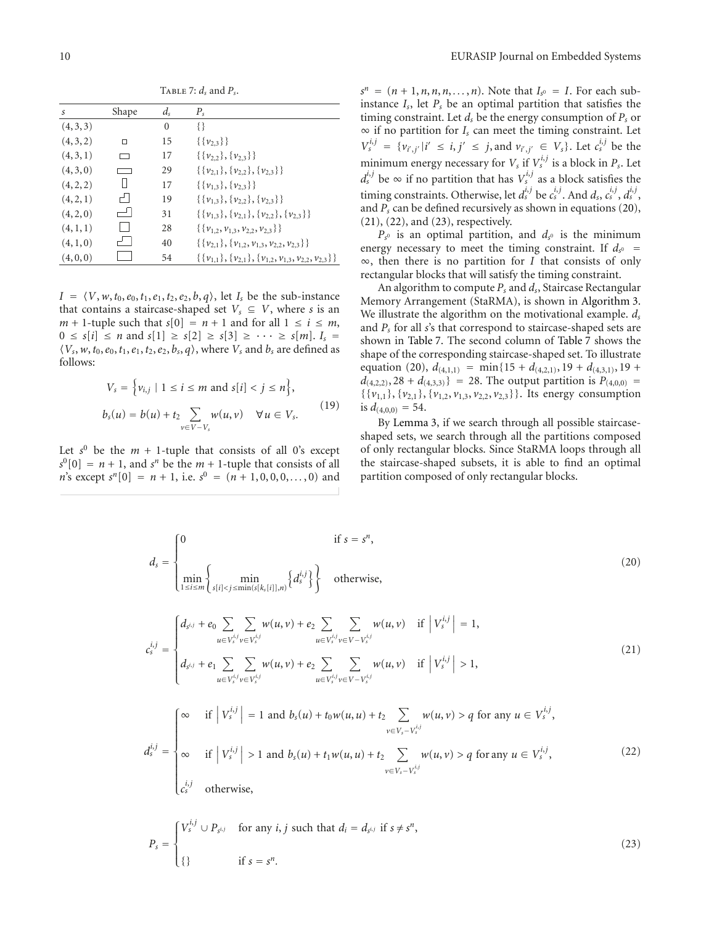## Table 7: *ds* and *Ps*.

| S         | Shape      | $d_{s}$  | $P_{s}$                                                                        |
|-----------|------------|----------|--------------------------------------------------------------------------------|
| (4,3,3)   |            | $\Omega$ | {}                                                                             |
| (4,3,2)   | п          | 15       | $\{\{\nu_{2,3}\}\}\$                                                           |
| (4,3,1)   | 冖          | 17       | $\{\{\nu_{2,2}\}, \{\nu_{2,3}\}\}\$                                            |
| (4,3,0)   | <u>a s</u> | 29       | $\{\{\nu_{2,1}\},\{\nu_{2,2}\},\{\nu_{2,3}\}\}\$                               |
| (4, 2, 2) | Ш          | 17       | $\{\{\nu_{1,3}\},\{\nu_{2,3}\}\}\$                                             |
| (4, 2, 1) | ا ب        | 19       | $\{\{\nu_{1,3}\}, \{\nu_{2,2}\}, \{\nu_{2,3}\}\}\$                             |
| (4, 2, 0) | ⊣∣         | 31       | $\{\{\nu_{1,3}\},\{\nu_{2,1}\},\{\nu_{2,2}\},\{\nu_{2,3}\}\}\$                 |
| (4,1,1)   |            | 28       | $\{\{\nu_{1,2},\nu_{1,3},\nu_{2,2},\nu_{2,3}\}\}\$                             |
| (4, 1, 0) |            | 40       | $\{\{\nu_{2,1}\},\{\nu_{1,2},\nu_{1,3},\nu_{2,2},\nu_{2,3}\}\}\$               |
| (4,0,0)   |            | 54       | $\{\{\nu_{1,1}\},\{\nu_{2,1}\},\{\nu_{1,2},\nu_{1,3},\nu_{2,2},\nu_{2,3}\}\}\$ |

 $I = \langle V, w, t_0, e_0, t_1, e_1, t_2, e_2, b, q \rangle$ , let  $I_s$  be the sub-instance that contains a staircase-shaped set  $V_s \subseteq V$ , where *s* is an  $m + 1$ -tuple such that  $s[0] = n + 1$  and for all  $1 \le i \le m$ , 0 ≤ *s*[*i*] ≤ *n* and *s*[1] ≥ *s*[2] ≥ *s*[3] ≥ ··· ≥ *s*[*m*]. *I<sub>s</sub>* =  $\langle V_s, w, t_0, e_0, t_1, e_1, t_2, e_2, b_s, q \rangle$ , where  $V_s$  and  $b_s$  are defined as follows:

$$
V_s = \{v_{i,j} \mid 1 \le i \le m \text{ and } s[i] < j \le n\},\
$$
\n
$$
b_s(u) = b(u) + t_2 \sum_{v \in V - V_s} w(u, v) \quad \forall u \in V_s. \tag{19}
$$

Let  $s^0$  be the  $m + 1$ -tuple that consists of all 0's except  $s^0[0] = n + 1$ , and  $s^n$  be the  $m + 1$ -tuple that consists of all *n*'s except  $s^n[0] = n + 1$ , i.e.  $s^0 = (n + 1, 0, 0, 0, \ldots, 0)$  and

 $^{\prime}$ 

 $u \in V_s^{i,j}$   $v \in V_s^{i,j}$ 

 $s^n = (n+1, n, n, n, \ldots, n)$ . Note that  $I_{s^0} = I$ . For each subinstance  $I_s$ , let  $P_s$  be an optimal partition that satisfies the timing constraint. Let  $d<sub>s</sub>$  be the energy consumption of  $P<sub>s</sub>$  or ∞ if no partition for *Is* can meet the timing constraint. Let  $V_s^{i,j} = \{v_{i',j'} | i' \le i, j' \le j, \text{and } v_{i',j'} \in V_s\}$ . Let  $c_s^{i,j}$  be the minimum energy necessary for  $V_s$  if  $V_s^{i,j}$  is a block in  $P_s$ . Let  $d_s^{i,j}$  be  $\infty$  if no partition that has  $V_s^{i,j}$  as a block satisfies the timing constraints. Otherwise, let  $d_s^{i,j}$  be  $c_s^{i,j}$ . And  $d_s$ ,  $c_s^{i,j}$ ,  $d_s^{i,j}$ , and *Ps* can be defined recursively as shown in equations (20), (21), (22), and (23), respectively.

 $P_{s0}$  is an optimal partition, and  $d_{s0}$  is the minimum energy necessary to meet the timing constraint. If  $d_{s^0}$  = ∞, then there is no partition for *I* that consists of only rectangular blocks that will satisfy the timing constraint.

An algorithm to compute *Ps* and *ds*, Staircase Rectangular Memory Arrangement (StaRMA), is shown in Algorithm 3. We illustrate the algorithm on the motivational example.  $d_s$ and *Ps* for all *s*'s that correspond to staircase-shaped sets are shown in Table 7. The second column of Table 7 shows the shape of the corresponding staircase-shaped set. To illustrate equation (20),  $d_{(4,1,1)} = \min\{15 + d_{(4,2,1)}, 19 + d_{(4,3,1)}, 19 + d_{(4,4,3,1)}\}$  $d_{(4,2,2)}$ , 28 +  $d_{(4,3,3)}$ } = 28. The output partition is  $P_{(4,0,0)}$  = {{*v*1,1}, {*v*2,1}, {*v*1,2, *v*1,3, *v*2,2, *v*2,3}}. Its energy consumption is  $d_{(4,0,0)} = 54$ .

By Lemma 3, if we search through all possible staircaseshaped sets, we search through all the partitions composed of only rectangular blocks. Since StaRMA loops through all the staircase-shaped subsets, it is able to find an optimal partition composed of only rectangular blocks.

$$
d_{s} = \begin{cases} 0 & \text{if } s = s^{n}, \\ \min_{1 \le i \le m} \left\{ \min_{s[i] < j \le \min(s[k_{s}[i]], n)} \left\{ d_{s}^{i,j} \right\} \right\} & \text{otherwise,} \end{cases} \tag{20}
$$
\n
$$
c_{s}^{i,j} = \begin{cases} d_{s^{i,j}} + e_{0} \sum_{u \in V_{s}^{i,j} v \in V_{s}^{i,j}} \sum_{v \in V_{s}^{i,j}} w(u, v) + e_{2} \sum_{u \in V_{s}^{i,j} v \in V - V_{s}^{i,j}} \sum_{u \in V_{s}^{i,j} v \in V - V_{s}^{i,j}} w(u, v) & \text{if } |V_{s}^{i,j}| > 1, \\ d_{s^{i,j}} + e_{1} \sum_{i} \sum_{u \in V_{s}^{i,j}} w(u, v) + e_{2} \sum_{i,j} \sum_{u \in V_{s}^{i,j}} w(u, v) & \text{if } |V_{s}^{i,j}| > 1, \end{cases} \tag{21}
$$

$$
d_s^{i,j} = \begin{cases} \infty & \text{if } \left| V_s^{i,j} \right| = 1 \text{ and } b_s(u) + t_0 w(u, u) + t_2 \sum_{v \in V_s - V_s^{i,j}} w(u, v) > q \text{ for any } u \in V_s^{i,j}, \\ \infty & \text{if } \left| V_s^{i,j} \right| > 1 \text{ and } b_s(u) + t_1 w(u, u) + t_2 \sum_{v \in V_s - V_s^{i,j}} w(u, v) > q \text{ for any } u \in V_s^{i,j}, \\ c_s^{i,j} & \text{otherwise,} \end{cases}
$$
(22)

 $u \in V_s^{i,j}$   $v \in V - V_s^{i,j}$ 

$$
P_s = \begin{cases} V_s^{i,j} \cup P_{s^{i,j}} & \text{for any } i, j \text{ such that } d_i = d_{s^{i,j}} \text{ if } s \neq s^n, \\ & \text{if } s = s^n. \end{cases} \tag{23}
$$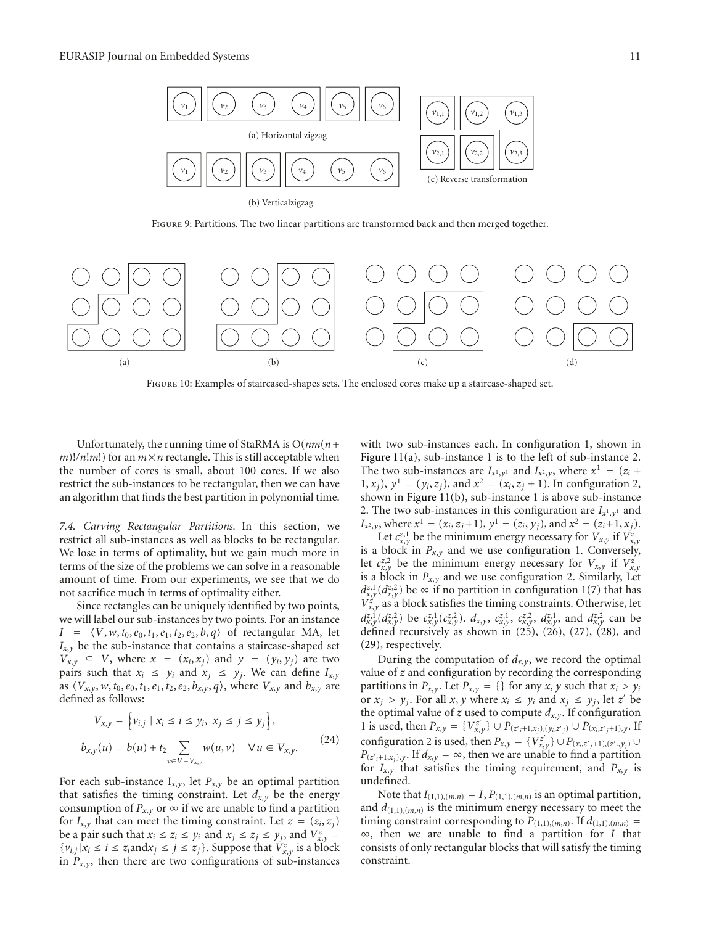

Figure 9: Partitions. The two linear partitions are transformed back and then merged together.



Figure 10: Examples of staircased-shapes sets. The enclosed cores make up a staircase-shaped set.

Unfortunately, the running time of StaRMA is O(*nm*(*n*+  $m$ )!/ $n!m!$  for an  $m \times n$  rectangle. This is still acceptable when the number of cores is small, about 100 cores. If we also restrict the sub-instances to be rectangular, then we can have an algorithm that finds the best partition in polynomial time.

*7.4. Carving Rectangular Partitions.* In this section, we restrict all sub-instances as well as blocks to be rectangular. We lose in terms of optimality, but we gain much more in terms of the size of the problems we can solve in a reasonable amount of time. From our experiments, we see that we do not sacrifice much in terms of optimality either.

Since rectangles can be uniquely identified by two points, we will label our sub-instances by two points. For an instance  $I = \langle V, w, t_0, e_0, t_1, e_1, t_2, e_2, b, q \rangle$  of rectangular MA, let  $I_{x,y}$  be the sub-instance that contains a staircase-shaped set *V<sub>x,y</sub>* ⊆ *V*, where  $x = (x_i, x_j)$  and  $y = (y_i, y_j)$  are two pairs such that  $x_i \leq y_i$  and  $x_j \leq y_j$ . We can define  $I_{x,y}$ as  $\langle V_{x,y}, w, t_0, e_0, t_1, e_1, t_2, e_2, b_{x,y}, q \rangle$ , where  $V_{x,y}$  and  $b_{x,y}$  are defined as follows:

$$
V_{x,y} = \{v_{i,j} \mid x_i \le i \le y_i, \ x_j \le j \le y_j\},\
$$
  

$$
b_{x,y}(u) = b(u) + t_2 \sum_{v \in V - V_{x,y}} w(u,v) \quad \forall u \in V_{x,y}.
$$
 (24)

For each sub-instance  $I_{x,y}$ , let  $P_{x,y}$  be an optimal partition that satisfies the timing constraint. Let  $d_{x,y}$  be the energy consumption of  $P_{x,y}$  or  $\infty$  if we are unable to find a partition for  $I_{x,y}$  that can meet the timing constraint. Let  $z = (z_i, z_j)$ be a pair such that  $x_i \le z_i \le y_i$  and  $x_j \le z_j \le y_j$ , and  $V_{x,y}^z =$  $\{v_{i,j}|x_i \leq i \leq z_i \text{ and } x_j \leq j \leq z_j\}$ . Suppose that  $\hat{V}_{x,y}^z$  is a block in  $P_{x,y}$ , then there are two configurations of sub-instances

with two sub-instances each. In configuration 1, shown in Figure 11(a), sub-instance 1 is to the left of sub-instance 2. The two sub-instances are  $I_{x^1,y^1}$  and  $I_{x^2,y}$ , where  $x^1 = (z_i +$ 1,  $x_j$ ),  $y^1 = (y_i, z_j)$ , and  $x^2 = (x_i, z_j + 1)$ . In configuration 2, shown in Figure 11(b), sub-instance 1 is above sub-instance 2. The two sub-instances in this configuration are  $I_{x^1,y^1}$  and  $I_{x^2,y}$ , where  $x^1 = (x_i, z_j + 1), y^1 = (z_i, y_j)$ , and  $x^2 = (z_i + 1, x_j)$ .

Let  $c_{x,y}^{z,1}$  be the minimum energy necessary for  $V_{x,y}$  if  $V_{x,y}^z$ is a block in  $P_{x,y}$  and we use configuration 1. Conversely, let  $c_{x,y}^{z,2}$  be the minimum energy necessary for  $V_{x,y}$  if  $V_{x,y}^{z}$ is a block in  $P_{x,y}$  and we use configuration 2. Similarly, Let  $d_{x,y}^{z,1}(d_{x,y}^{z,2})$  be  $\infty$  if no partition in configuration 1(7) that has  $V_{x,y}^{\tilde{z}}$  as a block satisfies the timing constraints. Otherwise, let  $d_{x,y}^{z,1}(d_{x,y}^{z,2})$  be  $c_{x,y}^{z,1}(c_{x,y}^{z,2})$ .  $d_{x,y}$ ,  $c_{x,y}^{z,1}$ ,  $c_{x,y}^{z,2}$ ,  $d_{x,y}^{z,1}$ , and  $d_{x,y}^{z,2}$  can be defined recursively as shown in (25), (26), (27), (28), and (29), respectively.

During the computation of  $d_{x,y}$ , we record the optimal value of *z* and configuration by recording the corresponding partitions in  $P_{x,y}$ . Let  $P_{x,y} = \{\}\$ for any *x*, *y* such that  $x_i > y_i$ or  $x_j > y_j$ . For all *x*, *y* where  $x_i \leq y_i$  and  $x_j \leq y_j$ , let *z'* be the optimal value of *z* used to compute  $d_{x,y}$ . If configuration 1 is used, then  $P_{x,y} = \{V_{x,y}^{z'}\} \cup P_{(z'+1,x_j),(y_i,z'_{j})} \cup P_{(x_i,z'_{j}+1),y}$ . If configuration 2 is used, then  $P_{x,y} = \{V_{x,y}^z\} \cup P_{(x_i,z'_j+1),(z'_i,y_j)} \cup$  $P_{(z'+1,x_j),y}$ . If  $d_{x,y} = \infty$ , then we are unable to find a partition for  $I_{x,y}$  that satisfies the timing requirement, and  $P_{x,y}$  is undefined.

Note that  $I_{(1,1),(m,n)} = I$ ,  $P_{(1,1),(m,n)}$  is an optimal partition, and  $d_{(1,1),(m,n)}$  is the minimum energy necessary to meet the timing constraint corresponding to  $P_{(1,1),(m,n)}$ . If  $d_{(1,1),(m,n)} =$ ∞, then we are unable to find a partition for *I* that consists of only rectangular blocks that will satisfy the timing constraint.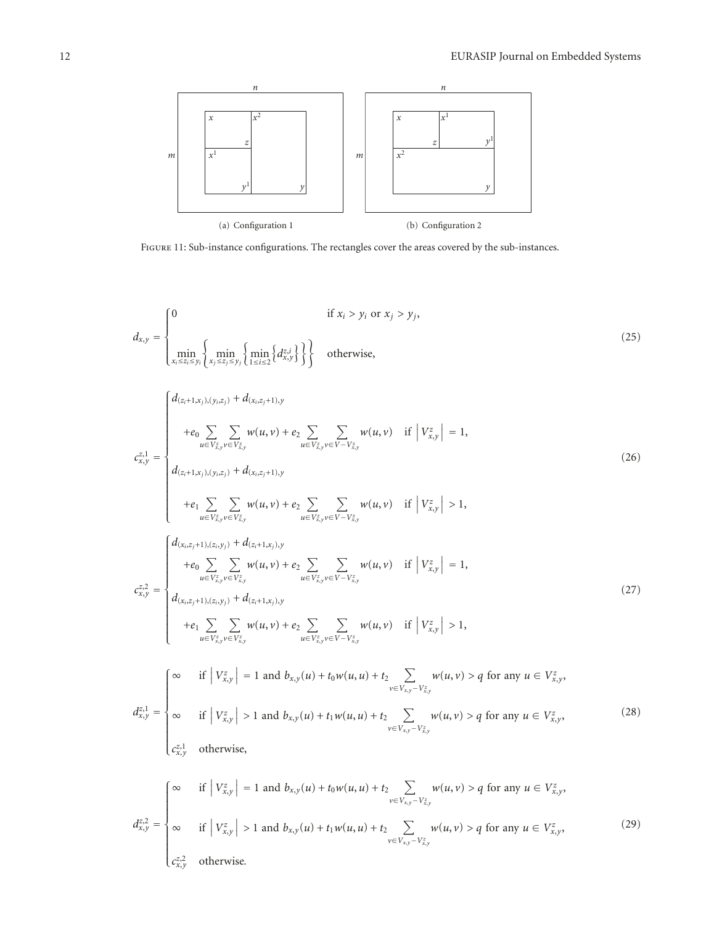

Figure 11: Sub-instance configurations. The rectangles cover the areas covered by the sub-instances.

$$
d_{x,y} = \begin{cases} 0 & \text{if } x_i > y_i \text{ or } x_j > y_j, \\ \min_{x_i \le x_i \le y_i} \left\{ \min_{x_i \le x_i \le y_j} \left\{ \min_{1 \le i \le 2} \left\{ d_{x,y}^{z, z_i} \right\} \right\} \right\} & \text{otherwise,} \\ d_{(x_i+1,x_j),(y_i,z_j)} + d_{(x_i,z_j+1),y} \\ + e_0 \sum_{u \in V_{z,y}^z \le y_i} w(u,v) + e_2 \sum_{u \in V_{z,y}^z \le y_i} \sum_{v \in V_{x,y}^z} w(u,v) & \text{if } \left| V_{x,y}^z \right| = 1, \\ d_{(z_i+1,x_j),(y_i,z_j)} + d_{(x_i,z_j+1),y} \\ + e_1 \sum_{u \in V_{z,y}^z \le y_i} \sum_{v \in V_{z,j}^z} w(u,v) + e_2 \sum_{u \in V_{z,y}^z \le y_i} \sum_{v \in V_{x,y}^z} w(u,v) & \text{if } \left| V_{x,y}^z \right| > 1, \\ e_1 \sum_{u \in V_{z,y}^z \le y_i} \sum_{v \in V_{z,j}^z} w(u,v) + e_2 \sum_{u \in V_{z,y}^z \le y_i} \sum_{v \in V_{x,y}^z} w(u,v) & \text{if } \left| V_{x,y}^z \right| = 1, \\ e_2 \sum_{x,y} \sum_{u \in V_{z,y}^z \le y_i} w(u,v) + e_2 \sum_{u \in V_{z,y}^z \le y_i} \sum_{v \in V_{x,y}^z} w(u,v) & \text{if } \left| V_{x,y}^z \right| = 1, \\ d_{(x_i,z_j+1),(z_i,y_j)} + d_{(z_i+1,x_j),y} \\ + e_1 \sum_{u \in V_{z,y}^z \le y_i} w(u,v) + e_2 \sum_{u \in V_{z,y}^z \le y_i} \sum_{v \in V_{x,y}^z} w(u,v) & \text{if } \left| V_{x,y}^z \right| > 1, \\ e_1 \sum_{u \in V_{x,y}^z \le y_i} w(u,v) + e_2 \sum_{u \in V_{x,y}^z \le y_i} w(u,v) & \text{if } \left| V_{x,y}^z \right| >
$$

$$
d_{x,y}^{z,2} = \begin{cases} \n\infty & \text{if } \left| V_{x,y}^{z} \right| > 1 \text{ and } b_{x,y}(u) + t_1 w(u,u) + t_2 \sum_{v \in V_{x,y} - V_{x,y}^{z}} w(u,v) > q \text{ for any } u \in V_{x,y}^{z}, \\ \nc_{x,y}^{z,2} & \text{otherwise.} \n\end{cases}
$$
\n(29)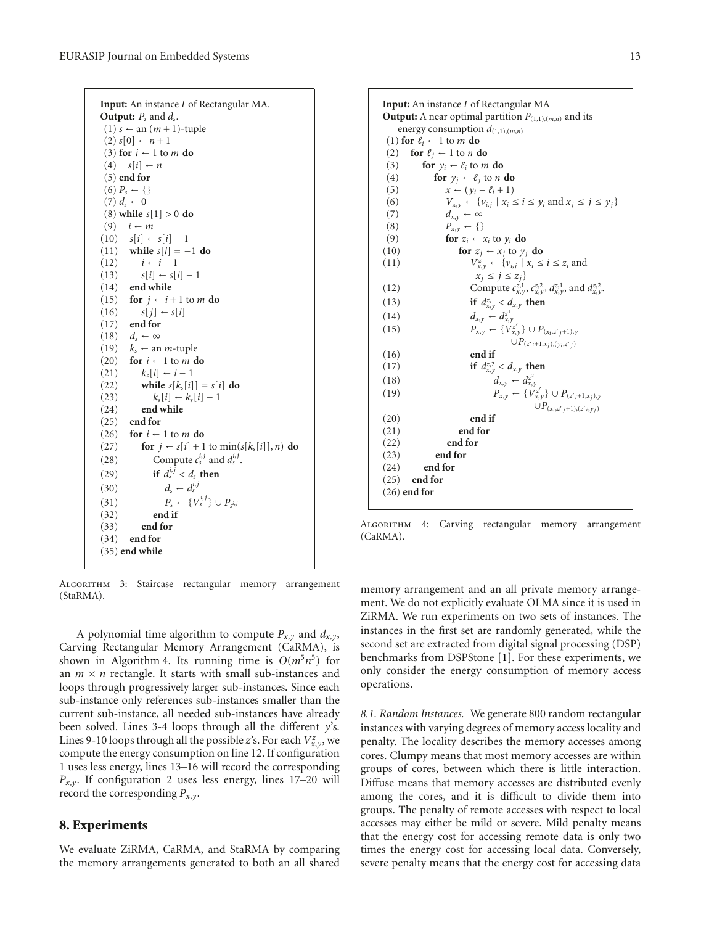**Input:** An instance *I* of Rectangular MA. **Output:**  $P_s$  and  $d_s$ . (1) *s* ← an (*m* + 1)-tuple  $(2)$  *s*[0] ← *n* + 1 (3) **for** *i* ← 1 to *m* **do** (4) *s*[*i*] ← *n* (5) **end for**  $(6)$   $P_s$   $\leftarrow$  {}  $(7) d_s \leftarrow 0$ (8) **while** *s*[1] *>* 0 **do** (9) *i* ← *m* (10)  $s[i] \leftarrow s[i] - 1$ <br>(11) **while**  $s[i] = -$ (11) **while**  $s[i] = -1$  **do**<br>(12)  $i \leftarrow i - 1$ (12)  $i \leftarrow i - 1$ <br>(13)  $s[i] \leftarrow s[i]$ (13)  $s[i] \leftarrow s[i] - 1$ <br>(14) **end while** end while (15) **for**  $j \leftarrow i + 1$  to *m* **do**<br>(16)  $s[i] \leftarrow s[i]$ (16)  $s[j] \leftarrow s[i]$ <br>(17) **end for** (17) **end for**  $(18)$  *d<sub>s</sub>* ← ∞ (19)  $k_s \leftarrow \text{an } m\text{-tuple}$ <br>(20) **for**  $i \leftarrow 1$  to *m* **d** (20) **for**  $i \leftarrow 1$  to *m* **do**<br>(21)  $k_s[i] \leftarrow i-1$ (21)  $k_s[i] \leftarrow i - 1$ <br>(22) while  $s[k_s]$ (22) **while**  $s[k_s[i]] = s[i]$  **do**<br>(23)  $k_s[i] \leftarrow k_s[i] - 1$ (23)  $k_s[i] \leftarrow k_s[i] - 1$ <br>(24) **end while** end while (25) **end for** (26) **for**  $i \leftarrow 1$  to *m* **do**<br>(27) **for**  $j \leftarrow s[i] + 1$ for  $j \leftarrow s[i] + 1$  to  $\min(s[k_s[i]], n)$  do (28) Compute  $c_s^{i,j}$  and  $d_s^{i,j}$ .  $(29)$  $s^{i,j}$  <  $d_s$  **then** (30)  $d_s - d_s^{i,j}$ (31)  $P_s \leftarrow \{V_s^{i,j}\} \cup P_{s^{i,j}}$ (32) **end if** (33) **end for** (34) **end for** (35) **end while**

ALGORITHM 3: Staircase rectangular memory arrangement (StaRMA).

A polynomial time algorithm to compute  $P_{x,y}$  and  $d_{x,y}$ , Carving Rectangular Memory Arrangement (CaRMA), is shown in Algorithm 4. Its running time is  $O(m^5n^5)$  for an  $m \times n$  rectangle. It starts with small sub-instances and loops through progressively larger sub-instances. Since each sub-instance only references sub-instances smaller than the current sub-instance, all needed sub-instances have already been solved. Lines 3-4 loops through all the different *y*'s. Lines 9-10 loops through all the possible *z*'s. For each  $V_{x,y}^z$ , we compute the energy consumption on line 12. If configuration 1 uses less energy, lines 13–16 will record the corresponding  $P_{x,y}$ . If configuration 2 uses less energy, lines 17–20 will record the corresponding *Px*,*<sup>y</sup>* .

## **8. Experiments**

We evaluate ZiRMA, CaRMA, and StaRMA by comparing the memory arrangements generated to both an all shared

```
Input: An instance I of Rectangular MA
Output: A near optimal partition P_{(1,1),(m,n)} and its
    energy consumption d_{(1,1),(m,n)}(1) for \ell_i \leftarrow 1 to m do
 (2) for \ell_j ← 1 to n do
 (3) for y_i \leftarrow \ell_i to m do
 (4) for y_j \leftarrow \ell_j to n do
 (5) x \leftarrow (y_i - \ell_i + 1)(6) V_{x,y} \leftarrow \{v_{i,j} \mid x_i \le i \le y_i \text{ and } x_j \le j \le y_j\}<br>(7) d_{x,y} \leftarrow \infty(7) d_{x,y} \leftarrow \infty<br>(8) P_{x,y} \leftarrow \{\}(8) P_{x,y} \leftarrow \{\}\<br>(9) for z_i \leftarrow(9) for z_i \leftarrow x_i to y_i do<br>for z_i \leftarrow x_i to y_ifor z_j \leftarrow x_j to y_j do
(11)V_{x,y}^z \leftarrow \{v_{i,j} \mid x_i \leq i \leq z_i \text{ and }x_j \leq j \leq z_j(12) Compute c_{x,y}^{z,1}, c_{x,y}^{z,2}, d_{x,y}^{z,1}, and d_{x,y}^{z,2}.
(13) if d_{x,y}^{z,1} < d_{x,y} then
(14) d_{x,y} \leftarrow d_{x,y}^{z^1}(15) P_{x,y} \leftarrow \{V_{x,y}^{z'}\} \cup P_{(x_i,z'_{j}+1),y}∪P_{(z'+1,x_j),(y_i,z'_{j})}(16) end if
(17) if d_{x,y}^{z,2} < d_{x,y} then
(18) d_{x,y} \leftarrow d_{x,y}^{z^2}(19) P_{x,y} \leftarrow \{V_{x,y}^{z'}\} \cup P_{(z'+1,x_j),y}∪P_{(x_i,z'_{j}+1),(z';i,y_{j})}(20) end if
(21) end for
(22) end for
(23) end for
(24) end for
(25) end for
(26) end for
```
ALGORITHM 4: Carving rectangular memory arrangement (CaRMA).

memory arrangement and an all private memory arrangement. We do not explicitly evaluate OLMA since it is used in ZiRMA. We run experiments on two sets of instances. The instances in the first set are randomly generated, while the second set are extracted from digital signal processing (DSP) benchmarks from DSPStone [1]. For these experiments, we only consider the energy consumption of memory access operations.

*8.1. Random Instances.* We generate 800 random rectangular instances with varying degrees of memory access locality and penalty. The locality describes the memory accesses among cores. Clumpy means that most memory accesses are within groups of cores, between which there is little interaction. Diffuse means that memory accesses are distributed evenly among the cores, and it is difficult to divide them into groups. The penalty of remote accesses with respect to local accesses may either be mild or severe. Mild penalty means that the energy cost for accessing remote data is only two times the energy cost for accessing local data. Conversely, severe penalty means that the energy cost for accessing data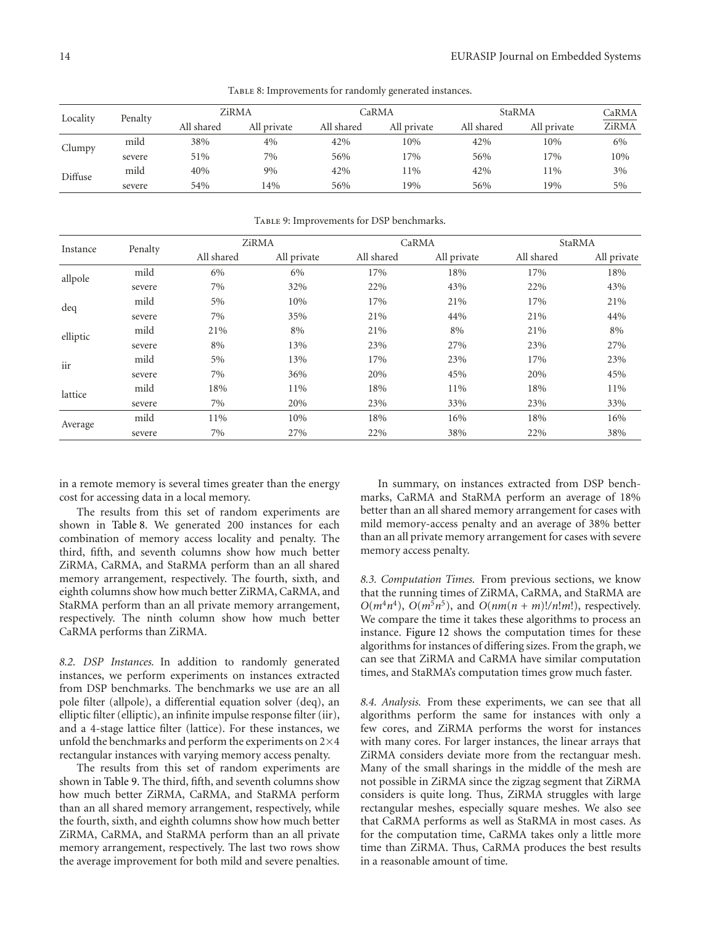| Locality | Penalty | ZiRMA      |             | CaRMA      |             | StaRMA     |             | CaRMA        |
|----------|---------|------------|-------------|------------|-------------|------------|-------------|--------------|
|          |         | All shared | All private | All shared | All private | All shared | All private | <b>ZiRMA</b> |
| Clumpy   | mild    | 38%        | 4%          | 42%        | 10%         | 42%        | 10%         | 6%           |
|          | severe  | 51%        | 7%          | 56%        | 17%         | 56%        | l7%         | 10%          |
| Diffuse  | mild    | 40%        | 9%          | 42%        | 11%         | 42%        | $1\%$       | 3%           |
|          | severe  | 54%        | 14%         | 56%        | 19%         | 56%        | 19%         | 5%           |

TABLE 8: Improvements for randomly generated instances.

TABLE 9: Improvements for DSP benchmarks.

| Instance | Penalty | <b>ZiRMA</b> |             |            | CaRMA       | StaRMA     |             |
|----------|---------|--------------|-------------|------------|-------------|------------|-------------|
|          |         | All shared   | All private | All shared | All private | All shared | All private |
|          | mild    | 6%           | 6%          | 17%        | 18%         | 17%        | 18%         |
| allpole  | severe  | 7%           | 32%         | 22%        | 43%         | 22%        | 43%         |
| deq      | mild    | 5%           | 10%         | 17%        | 21%         | 17%        | 21%         |
|          | severe  | 7%           | 35%         | 21%        | 44%         | 21%        | 44%         |
| elliptic | mild    | 21%          | 8%          | 21%        | 8%          | 21%        | 8%          |
|          | severe  | 8%           | 13%         | 23%        | 27%         | 23%        | 27%         |
| iir      | mild    | 5%           | 13%         | 17%        | 23%         | 17%        | 23%         |
|          | severe  | 7%           | 36%         | 20%        | 45%         | 20%        | 45%         |
| lattice  | mild    | 18%          | 11%         | 18%        | 11%         | 18%        | 11%         |
|          | severe  | 7%           | 20%         | 23%        | 33%         | 23%        | 33%         |
| Average  | mild    | 11%          | 10%         | 18%        | 16%         | 18%        | 16%         |
|          | severe  | 7%           | 27%         | 22%        | 38%         | 22%        | 38%         |

in a remote memory is several times greater than the energy cost for accessing data in a local memory.

The results from this set of random experiments are shown in Table 8. We generated 200 instances for each combination of memory access locality and penalty. The third, fifth, and seventh columns show how much better ZiRMA, CaRMA, and StaRMA perform than an all shared memory arrangement, respectively. The fourth, sixth, and eighth columns show how much better ZiRMA, CaRMA, and StaRMA perform than an all private memory arrangement, respectively. The ninth column show how much better CaRMA performs than ZiRMA.

*8.2. DSP Instances.* In addition to randomly generated instances, we perform experiments on instances extracted from DSP benchmarks. The benchmarks we use are an all pole filter (allpole), a differential equation solver (deq), an elliptic filter (elliptic), an infinite impulse response filter (iir), and a 4-stage lattice filter (lattice). For these instances, we unfold the benchmarks and perform the experiments on  $2\times4$ rectangular instances with varying memory access penalty.

The results from this set of random experiments are shown in Table 9. The third, fifth, and seventh columns show how much better ZiRMA, CaRMA, and StaRMA perform than an all shared memory arrangement, respectively, while the fourth, sixth, and eighth columns show how much better ZiRMA, CaRMA, and StaRMA perform than an all private memory arrangement, respectively. The last two rows show the average improvement for both mild and severe penalties.

In summary, on instances extracted from DSP benchmarks, CaRMA and StaRMA perform an average of 18% better than an all shared memory arrangement for cases with mild memory-access penalty and an average of 38% better than an all private memory arrangement for cases with severe memory access penalty.

*8.3. Computation Times.* From previous sections, we know that the running times of ZiRMA, CaRMA, and StaRMA are  $O(m^4n^4)$ ,  $O(m^5n^5)$ , and  $O(nm(n + m)!/n!m!)$ , respectively. We compare the time it takes these algorithms to process an instance. Figure 12 shows the computation times for these algorithms for instances of differing sizes. From the graph, we can see that ZiRMA and CaRMA have similar computation times, and StaRMA's computation times grow much faster.

*8.4. Analysis.* From these experiments, we can see that all algorithms perform the same for instances with only a few cores, and ZiRMA performs the worst for instances with many cores. For larger instances, the linear arrays that ZiRMA considers deviate more from the rectanguar mesh. Many of the small sharings in the middle of the mesh are not possible in ZiRMA since the zigzag segment that ZiRMA considers is quite long. Thus, ZiRMA struggles with large rectangular meshes, especially square meshes. We also see that CaRMA performs as well as StaRMA in most cases. As for the computation time, CaRMA takes only a little more time than ZiRMA. Thus, CaRMA produces the best results in a reasonable amount of time.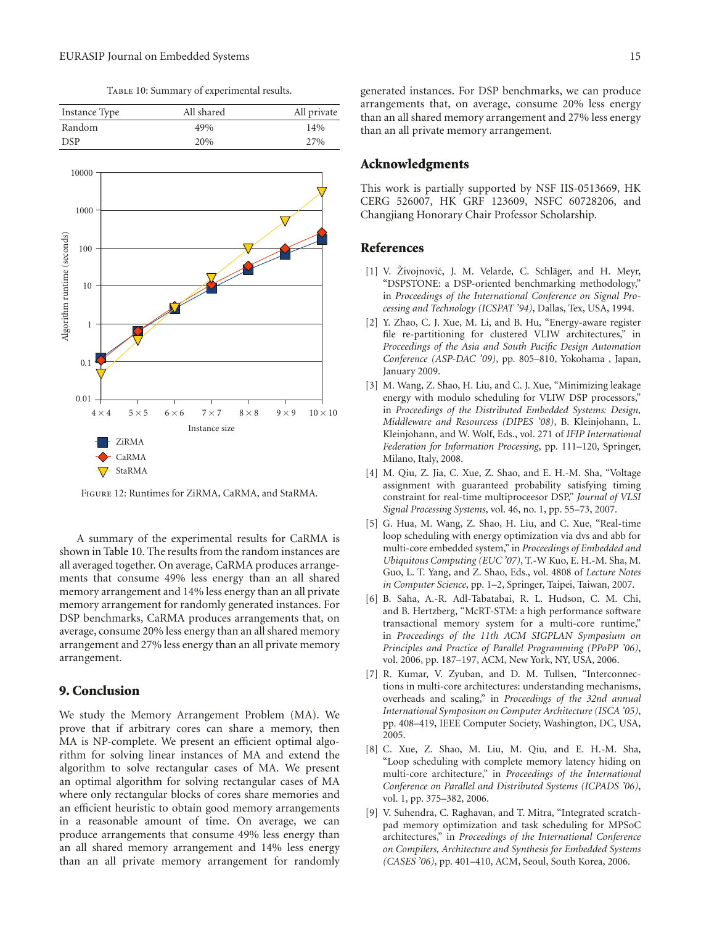TABLE 10: Summary of experimental results.

| Instance Type | All shared | All private |
|---------------|------------|-------------|
| Random        | 49%        | 14%         |
| <b>DSP</b>    | 20%        | 27%         |



Figure 12: Runtimes for ZiRMA, CaRMA, and StaRMA.

A summary of the experimental results for CaRMA is shown in Table 10. The results from the random instances are all averaged together. On average, CaRMA produces arrangements that consume 49% less energy than an all shared memory arrangement and 14% less energy than an all private memory arrangement for randomly generated instances. For DSP benchmarks, CaRMA produces arrangements that, on average, consume 20% less energy than an all shared memory arrangement and 27% less energy than an all private memory arrangement.

## **9. Conclusion**

We study the Memory Arrangement Problem (MA). We prove that if arbitrary cores can share a memory, then MA is NP-complete. We present an efficient optimal algorithm for solving linear instances of MA and extend the algorithm to solve rectangular cases of MA. We present an optimal algorithm for solving rectangular cases of MA where only rectangular blocks of cores share memories and an efficient heuristic to obtain good memory arrangements in a reasonable amount of time. On average, we can produce arrangements that consume 49% less energy than an all shared memory arrangement and 14% less energy than an all private memory arrangement for randomly generated instances. For DSP benchmarks, we can produce arrangements that, on average, consume 20% less energy than an all shared memory arrangement and 27% less energy than an all private memory arrangement.

## **Acknowledgments**

This work is partially supported by NSF IIS-0513669, HK CERG 526007, HK GRF 123609, NSFC 60728206, and Changjiang Honorary Chair Professor Scholarship.

## **References**

- [1] V. Živojnović, J. M. Velarde, C. Schläger, and H. Meyr, "DSPSTONE: a DSP-oriented benchmarking methodology," in *Proceedings of the International Conference on Signal Processing and Technology (ICSPAT '94)*, Dallas, Tex, USA, 1994.
- [2] Y. Zhao, C. J. Xue, M. Li, and B. Hu, "Energy-aware register file re-partitioning for clustered VLIW architectures," in *Proceedings of the Asia and South Pacific Design Automation Conference (ASP-DAC '09)*, pp. 805–810, Yokohama , Japan, January 2009.
- [3] M. Wang, Z. Shao, H. Liu, and C. J. Xue, "Minimizing leakage energy with modulo scheduling for VLIW DSP processors," in *Proceedings of the Distributed Embedded Systems: Design, Middleware and Resourcess (DIPES '08)*, B. Kleinjohann, L. Kleinjohann, and W. Wolf, Eds., vol. 271 of *IFIP International Federation for Information Processing*, pp. 111–120, Springer, Milano, Italy, 2008.
- [4] M. Qiu, Z. Jia, C. Xue, Z. Shao, and E. H.-M. Sha, "Voltage assignment with guaranteed probability satisfying timing constraint for real-time multiproceesor DSP," *Journal of VLSI Signal Processing Systems*, vol. 46, no. 1, pp. 55–73, 2007.
- [5] G. Hua, M. Wang, Z. Shao, H. Liu, and C. Xue, "Real-time loop scheduling with energy optimization via dvs and abb for multi-core embedded system," in *Proceedings of Embedded and Ubiquitous Computing (EUC '07)*, T.-W Kuo, E. H.-M. Sha, M. Guo, L. T. Yang, and Z. Shao, Eds., vol. 4808 of *Lecture Notes in Computer Science*, pp. 1–2, Springer, Taipei, Taiwan, 2007.
- [6] B. Saha, A.-R. Adl-Tabatabai, R. L. Hudson, C. M. Chi, and B. Hertzberg, "McRT-STM: a high performance software transactional memory system for a multi-core runtime," in *Proceedings of the 11th ACM SIGPLAN Symposium on Principles and Practice of Parallel Programming (PPoPP '06)*, vol. 2006, pp. 187–197, ACM, New York, NY, USA, 2006.
- [7] R. Kumar, V. Zyuban, and D. M. Tullsen, "Interconnections in multi-core architectures: understanding mechanisms, overheads and scaling," in *Proceedings of the 32nd annual International Symposium on Computer Architecture (ISCA '05)*, pp. 408–419, IEEE Computer Society, Washington, DC, USA, 2005.
- [8] C. Xue, Z. Shao, M. Liu, M. Qiu, and E. H.-M. Sha, "Loop scheduling with complete memory latency hiding on multi-core architecture," in *Proceedings of the International Conference on Parallel and Distributed Systems (ICPADS '06)*, vol. 1, pp. 375–382, 2006.
- [9] V. Suhendra, C. Raghavan, and T. Mitra, "Integrated scratchpad memory optimization and task scheduling for MPSoC architectures," in *Proceedings of the International Conference on Compilers, Architecture and Synthesis for Embedded Systems (CASES '06)*, pp. 401–410, ACM, Seoul, South Korea, 2006.